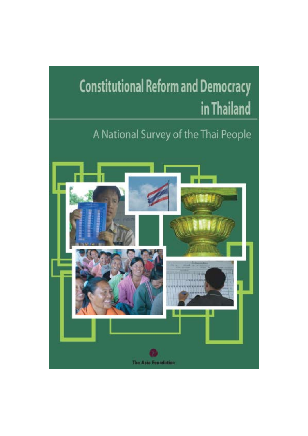# **Constitutional Reform and Democracy** in Thailand

# A National Survey of the Thai People

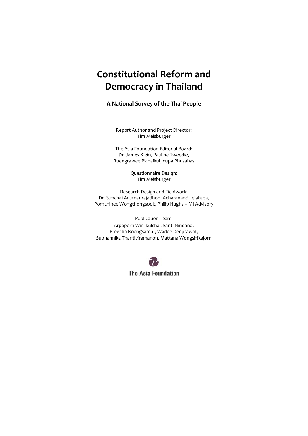### **Constitutional Reform and Democracy in Thailand**

**A** National Survey of the Thai People

Report Author and Project Director: Tim-Meisburger-

The-Asia-Foundation-Editorial-Board:- Dr. James Klein, Pauline Tweedie, Ruengrawee Pichaikul, Yupa Phusahas

> Questionnaire Design: Tim-Meisburger-

Research Design and Fieldwork: Dr. Sunchai Anumanrajadhon, Acharanand Lelahuta, Pornchinee Wongthongsook, Philip Hughs - MI Advisory

Publication Team: Arpaporn Winijkulchai, Santi Nindang, Preecha Roengsamut, Wadee Deeprawat, Suphannika Thantiviramanon, Mattana Wongsirikajorn

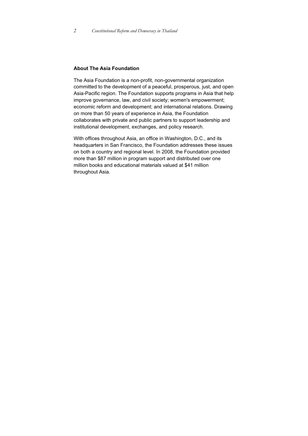### **About The Asia Foundation**

The Asia Foundation is a non-profit, non-governmental organization committed to the development of a peaceful, prosperous, just, and open Asia-Pacific region. The Foundation supports programs in Asia that help improve governance, law, and civil society; women's empowerment; economic reform and development; and international relations. Drawing on more than 50 years of experience in Asia, the Foundation collaborates with private and public partners to support leadership and institutional development, exchanges, and policy research.

With offices throughout Asia, an office in Washington, D.C., and its headquarters in San Francisco, the Foundation addresses these issues on both a country and regional level. In 2008, the Foundation provided more than \$87 million in program support and distributed over one million books and educational materials valued at \$41 million throughout Asia.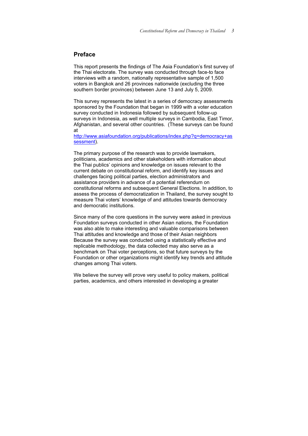### **Preface**

This report presents the findings of The Asia Foundation's first survey of the Thai electorate. The survey was conducted through face-to face interviews with a random, nationally representative sample of 1,500 voters in Bangkok and 26 provinces nationwide (excluding the three southern border provinces) between June 13 and July 5, 2009.

This survey represents the latest in a series of democracy assessments sponsored by the Foundation that began in 1999 with a voter education survey conducted in Indonesia followed by subsequent follow-up surveys in Indonesia, as well multiple surveys in Cambodia, East Timor, Afghanistan, and several other countries. (These surveys can be found at

http://www.asiafoundation.org/publications/index.php?q=democracy+as sessment).

The primary purpose of the research was to provide lawmakers, politicians, academics and other stakeholders with information about the Thai publics' opinions and knowledge on issues relevant to the current debate on constitutional reform, and identify key issues and challenges facing political parties, election administrators and assistance providers in advance of a potential referendum on constitutional reforms and subsequent General Elections. In addition, to assess the process of democratization in Thailand, the survey sought to measure Thai voters' knowledge of and attitudes towards democracy and democratic institutions.

Since many of the core questions in the survey were asked in previous Foundation surveys conducted in other Asian nations, the Foundation was also able to make interesting and valuable comparisons between Thai attitudes and knowledge and those of their Asian neighbors Because the survey was conducted using a statistically effective and replicable methodology, the data collected may also serve as a benchmark on Thai voter perceptions, so that future surveys by the Foundation or other organizations might identify key trends and attitude changes among Thai voters.

We believe the survey will prove very useful to policy makers, political parties, academics, and others interested in developing a greater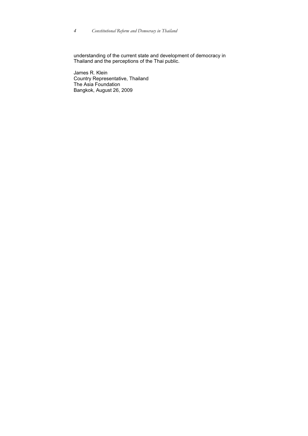understanding of the current state and development of democracy in Thailand and the perceptions of the Thai public.

James R. Klein Country Representative, Thailand The Asia Foundation Bangkok, August 26, 2009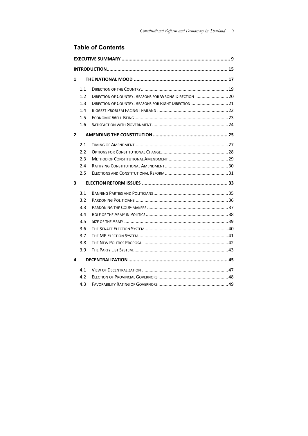| <b>Table of Contents</b> |  |
|--------------------------|--|
|--------------------------|--|

| $\mathbf{1}$   |     |                                                       |  |  |
|----------------|-----|-------------------------------------------------------|--|--|
|                | 1.1 |                                                       |  |  |
|                | 1.2 | DIRECTION OF COUNTRY: REASONS FOR WRONG DIRECTION  20 |  |  |
|                | 1.3 |                                                       |  |  |
|                | 1.4 |                                                       |  |  |
|                | 1.5 |                                                       |  |  |
|                | 1.6 |                                                       |  |  |
| $\overline{2}$ |     |                                                       |  |  |
|                | 2.1 |                                                       |  |  |
|                | 2.2 |                                                       |  |  |
|                | 2.3 |                                                       |  |  |
|                | 2.4 |                                                       |  |  |
|                | 2.5 |                                                       |  |  |
| 3              |     |                                                       |  |  |
|                | 3.1 |                                                       |  |  |
|                | 3.2 |                                                       |  |  |
|                | 3.3 |                                                       |  |  |
|                | 3.4 |                                                       |  |  |
|                | 3.5 |                                                       |  |  |
|                | 3.6 |                                                       |  |  |
|                | 3.7 |                                                       |  |  |
|                | 3.8 |                                                       |  |  |
|                | 3.9 |                                                       |  |  |
| 4              |     |                                                       |  |  |
|                | 4.1 |                                                       |  |  |
|                | 4.2 |                                                       |  |  |
|                | 4.3 |                                                       |  |  |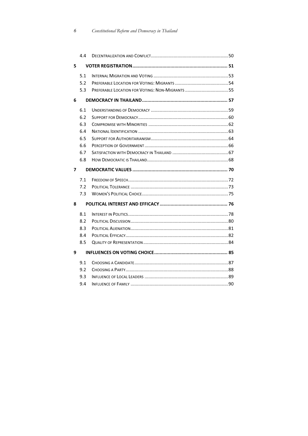|    | 4.4 |  |  |
|----|-----|--|--|
| 5. |     |  |  |
|    | 5.1 |  |  |
|    | 5.2 |  |  |
|    | 5.3 |  |  |
| 6  |     |  |  |
|    | 6.1 |  |  |
|    | 6.2 |  |  |
|    | 6.3 |  |  |
|    | 6.4 |  |  |
|    | 6.5 |  |  |
|    | 6.6 |  |  |
|    | 6.7 |  |  |
|    | 6.8 |  |  |
| 7  |     |  |  |
|    |     |  |  |
|    | 7.1 |  |  |
|    | 7.2 |  |  |
|    | 7.3 |  |  |
| 8  |     |  |  |
|    | 8.1 |  |  |
|    | 8.2 |  |  |
|    | 8.3 |  |  |
|    | 8.4 |  |  |
|    | 8.5 |  |  |
| 9  |     |  |  |
|    | 9.1 |  |  |
|    | 9.2 |  |  |
|    | 9.3 |  |  |

 $\boldsymbol{\delta}$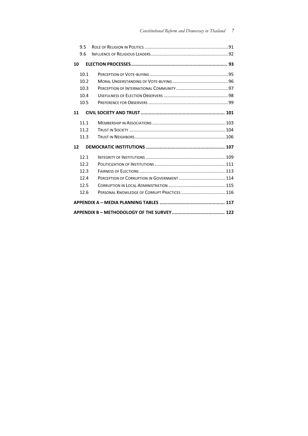|    | 9.5  |  |  |  |
|----|------|--|--|--|
|    | 9.6  |  |  |  |
| 10 |      |  |  |  |
|    | 10.1 |  |  |  |
|    | 10.2 |  |  |  |
|    | 10.3 |  |  |  |
|    | 10.4 |  |  |  |
|    | 10.5 |  |  |  |
| 11 |      |  |  |  |
|    | 11.1 |  |  |  |
|    | 11.2 |  |  |  |
|    | 11.3 |  |  |  |
| 12 |      |  |  |  |
|    | 12.1 |  |  |  |
|    | 12.2 |  |  |  |
|    | 12.3 |  |  |  |
|    | 12.4 |  |  |  |
|    | 12.5 |  |  |  |
|    | 12.6 |  |  |  |
|    |      |  |  |  |
|    |      |  |  |  |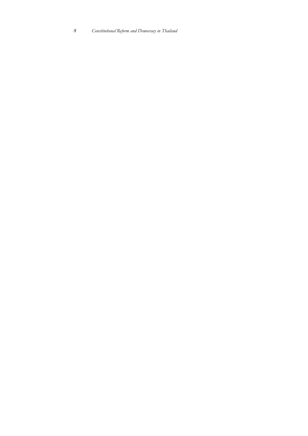*Constitutional Reform and Democracy in Thailand*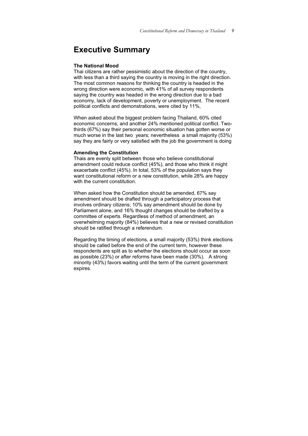### **Executive Summary**

### **The National Mood**

Thai citizens are rather pessimistic about the direction of the country, with less than a third saying the country is moving in the right direction. The most common reasons for thinking the country is headed in the wrong direction were economic, with 41% of all survey respondents saying the country was headed in the wrong direction due to a bad economy, lack of development, poverty or unemployment. The recent political conflicts and demonstrations, were cited by 11%,

When asked about the biggest problem facing Thailand, 60% cited economic concerns, and another 24% mentioned political conflict. Twothirds (67%) say their personal economic situation has gotten worse or much worse in the last two years; nevertheless a small majority (53%) say they are fairly or very satisfied with the job the government is doing

### **Amending the Constitution**

Thais are evenly split between those who believe constitutional amendment could reduce conflict (45%), and those who think it might exacerbate conflict (45%). In total, 53% of the population says they want constitutional reform or a new constitution, while 28% are happy with the current constitution.

When asked how the Constitution should be amended, 67% say amendment should be drafted through a participatory process that involves ordinary citizens; 10% say amendment should be done by Parliament alone, and 16% thought changes should be drafted by a committee of experts. Regardless of method of amendment, an overwhelming majority (84%) believes that a new or revised constitution should be ratified through a referendum.

Regarding the timing of elections, a small majority (53%) think elections should be called before the end of the current term, however these respondents are split as to whether the elections should occur as soon as possible (23%) or after reforms have been made (30%). A strong minority (43%) favors waiting until the term of the current government expires.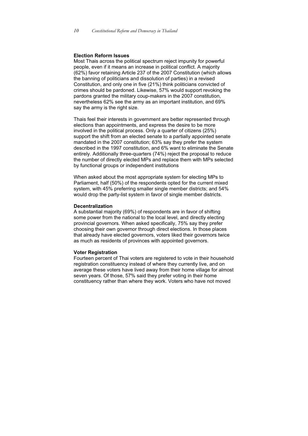### **Election Reform Issues**

Most Thais across the political spectrum reject impunity for powerful people, even if it means an increase in political conflict. A majority (62%) favor retaining Article 237 of the 2007 Constitution (which allows the banning of politicians and dissolution of parties) in a revised Constitution, and only one in five (21%) think politicians convicted of crimes should be pardoned. Likewise, 57% would support revoking the pardons granted the military coup-makers in the 2007 constitution, nevertheless 62% see the army as an important institution, and 69% say the army is the right size.

Thais feel their interests in government are better represented through elections than appointments, and express the desire to be more involved in the political process. Only a quarter of citizens (25%) support the shift from an elected senate to a partially appointed senate mandated in the 2007 constitution; 63% say they prefer the system described in the 1997 constitution, and 6% want to eliminate the Senate entirely. Additionally three-quarters (74%) reject the proposal to reduce the number of directly elected MPs and replace them with MPs selected by functional groups or independent institutions

When asked about the most appropriate system for electing MPs to Parliament, half (50%) of the respondents opted for the current mixed system, with 45% preferring smaller single member districts; and 54% would drop the party-list system in favor of single member districts.

#### **Decentralization**

A substantial majority (69%) of respondents are in favor of shifting some power from the national to the local level, and directly electing provincial governors. When asked specifically, 75% say they prefer choosing their own governor through direct elections. In those places that already have elected governors, voters liked their governors twice as much as residents of provinces with appointed governors.

### **Voter Registration**

Fourteen percent of Thai voters are registered to vote in their household registration constituency instead of where they currently live, and on average these voters have lived away from their home village for almost seven years. Of those, 57% said they prefer voting in their home constituency rather than where they work. Voters who have not moved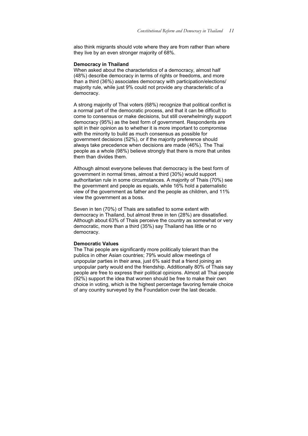also think migrants should vote where they are from rather than where they live by an even stronger majority of 68%.

### **Democracy in Thailand**

When asked about the characteristics of a democracy, almost half (48%) describe democracy in terms of rights or freedoms, and more than a third (36%) associates democracy with participation/elections/ majority rule, while just 9% could not provide any characteristic of a democracy.

A strong majority of Thai voters (68%) recognize that political conflict is a normal part of the democratic process, and that it can be difficult to come to consensus or make decisions, but still overwhelmingly support democracy (95%) as the best form of government. Respondents are split in their opinion as to whether it is more important to compromise with the minority to build as much consensus as possible for government decisions (52%), or if the majority preference should always take precedence when decisions are made (46%). The Thai people as a whole (98%) believe strongly that there is more that unites them than divides them.

Although almost everyone believes that democracy is the best form of government in normal times, almost a third (30%) would support authoritarian rule in some circumstances. A majority of Thais (70%) see the government and people as equals, while 16% hold a paternalistic view of the government as father and the people as children, and 11% view the government as a boss.

Seven in ten (70%) of Thais are satisfied to some extent with democracy in Thailand, but almost three in ten (28%) are dissatisfied. Although about 63% of Thais perceive the country as somewhat or very democratic, more than a third (35%) say Thailand has little or no democracy.

### **Democratic Values**

The Thai people are significantly more politically tolerant than the publics in other Asian countries; 79% would allow meetings of unpopular parties in their area, just 6% said that a friend joining an unpopular party would end the friendship. Additionally 80% of Thais say people are free to express their political opinions. Almost all Thai people (92%) support the idea that women should be free to make their own choice in voting, which is the highest percentage favoring female choice of any country surveyed by the Foundation over the last decade.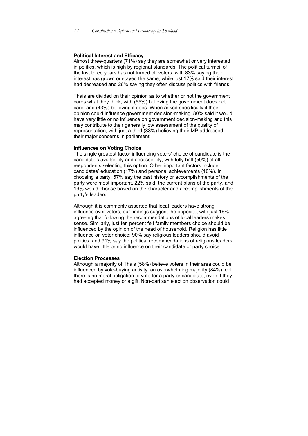### **Political Interest and Efficacy**

Almost three-quarters (71%) say they are somewhat or very interested in politics, which is high by regional standards. The political turmoil of the last three years has not turned off voters, with 83% saying their interest has grown or stayed the same, while just 17% said their interest had decreased and 26% saying they often discuss politics with friends.

Thais are divided on their opinion as to whether or not the government cares what they think, with (55%) believing the government does not care, and (43%) believing it does. When asked specifically if their opinion could influence government decision-making, 80% said it would have very little or no influence on government decision-making and this may contribute to their generally low assessment of the quality of representation, with just a third (33%) believing their MP addressed their major concerns in parliament.

### **Influences on Voting Choice**

The single greatest factor influencing voters' choice of candidate is the candidate's availability and accessibility, with fully half (50%) of all respondents selecting this option. Other important factors include candidates' education (17%) and personal achievements (10%). In choosing a party, 57% say the past history or accomplishments of the party were most important, 22% said, the current plans of the party, and 19% would choose based on the character and accomplishments of the party's leaders.

Although it is commonly asserted that local leaders have strong influence over voters, our findings suggest the opposite, with just 16% agreeing that following the recommendations of local leaders makes sense. Similarly, just ten percent felt family members choice should be influenced by the opinion of the head of household. Religion has little influence on voter choice: 90% say religious leaders should avoid politics, and 91% say the political recommendations of religious leaders would have little or no influence on their candidate or party choice.

### **Election Processes**

Although a majority of Thais (58%) believe voters in their area could be influenced by vote-buying activity, an overwhelming majority (84%) feel there is no moral obligation to vote for a party or candidate, even if they had accepted money or a gift. Non-partisan election observation could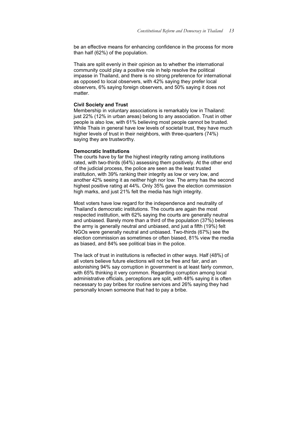be an effective means for enhancing confidence in the process for more than half (62%) of the population.

Thais are split evenly in their opinion as to whether the international community could play a positive role in help resolve the political impasse in Thailand, and there is no strong preference for international as opposed to local observers, with 42% saying they prefer local observers, 6% saying foreign observers, and 50% saying it does not matter.

### **Civil Society and Trust**

Membership in voluntary associations is remarkably low in Thailand: just 22% (12% in urban areas) belong to any association. Trust in other people is also low, with 61% believing most people cannot be trusted. While Thais in general have low levels of societal trust, they have much higher levels of trust in their neighbors, with three-quarters (74%) saying they are trustworthy.

### **Democratic Institutions**

The courts have by far the highest integrity rating among institutions rated, with two-thirds (64%) assessing them positively. At the other end of the judicial process, the police are seen as the least trusted institution, with 39% ranking their integrity as low or very low, and another 42% seeing it as neither high nor low. The army has the second highest positive rating at 44%. Only 35% gave the election commission high marks, and just 21% felt the media has high integrity.

Most voters have low regard for the independence and neutrality of Thailand's democratic institutions. The courts are again the most respected institution, with 62% saying the courts are generally neutral and unbiased. Barely more than a third of the population (37%) believes the army is generally neutral and unbiased, and just a fifth (19%) felt NGOs were generally neutral and unbiased. Two-thirds (67%) see the election commission as sometimes or often biased, 81% view the media as biased, and 84% see political bias in the police.

The lack of trust in institutions is reflected in other ways. Half (48%) of all voters believe future elections will not be free and fair, and an astonishing 94% say corruption in government is at least fairly common, with 65% thinking it very common. Regarding corruption among local administrative officials, perceptions are split, with 48% saying it is often necessary to pay bribes for routine services and 26% saying they had personally known someone that had to pay a bribe.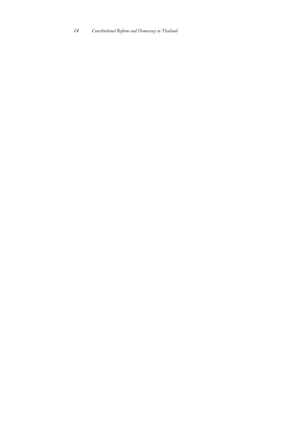*Constitutional Reform and Democracy in Thailand*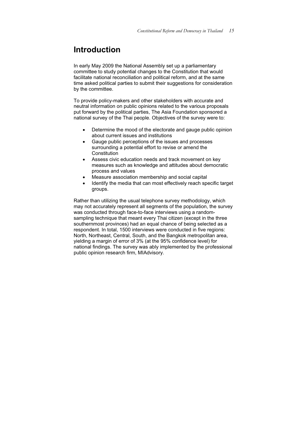### **Introduction**

In early May 2009 the National Assembly set up a parliamentary committee to study potential changes to the Constitution that would facilitate national reconciliation and political reform, and at the same time asked political parties to submit their suggestions for consideration by the committee.

To provide policy-makers and other stakeholders with accurate and neutral information on public opinions related to the various proposals put forward by the political parties, The Asia Foundation sponsored a national survey of the Thai people. Objectives of the survey were to:

- - Determine the mood of the electorate and gauge public opinion about current issues and institutions
- - Gauge public perceptions of the issues and processes surrounding a potential effort to revise or amend the **Constitution**
- - Assess civic education needs and track movement on key measures such as knowledge and attitudes about democratic process and values
- -Measure association membership and social capital
- - Identify the media that can most effectively reach specific target groups.

Rather than utilizing the usual telephone survey methodology, which may not accurately represent all segments of the population, the survey was conducted through face-to-face interviews using a randomsampling technique that meant every Thai citizen (except in the three southernmost provinces) had an equal chance of being selected as a respondent. In total, 1500 interviews were conducted in five regions: North, Northeast, Central, South, and the Bangkok metropolitan area, yielding a margin of error of 3% (at the 95% confidence level) for national findings. The survey was ably implemented by the professional public opinion research firm, MIAdvisory.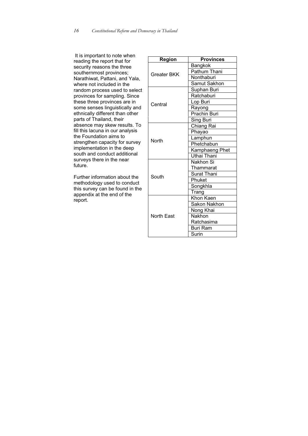It is important to note when reading the report that for security reasons the three southernmost provinces; Narathiwat, Pattani, and Yala, where not included in the random process used to select provinces for sampling. Since these three provinces are in some senses linguistically and ethnically different than other parts of Thailand, their absence may skew results. To fill this lacuna in our analysis the Foundation aims to strengthen capacity for survey implementation in the deep south and conduct additional surveys there in the near future.

Further information about the methodology used to conduct this survey can be found in the appendix at the end of the report.

| Region      | <b>Provinces</b>    |
|-------------|---------------------|
|             | Bangkok             |
| Greater BKK | Pathum Thani        |
|             | Nonthaburi          |
|             | Samut Sakhon        |
|             | Suphan Buri         |
|             | Ratchaburi          |
| Central     | Lop Buri            |
|             | Rayong              |
|             | <b>Prachin Buri</b> |
|             | Sing Buri           |
|             | Chiang Rai          |
|             | Phayao              |
| North       | Lamphun             |
|             | Phetchabun          |
|             | Kamphaeng Phet      |
|             | Uthai Thani         |
|             | Nakhon Si           |
|             | Thammarat           |
| South       | <b>Surat Thani</b>  |
|             | Phuket              |
|             | Songkhla            |
|             | Trang               |
|             | Khon Kaen           |
|             | Sakon Nakhon        |
|             | Nong Khai           |
| North East  | Nakhon              |
|             | Ratchasima          |
|             | <b>Buri Ram</b>     |
|             | Surin               |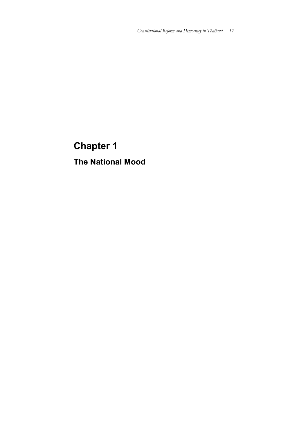## **Chapter 1 1 The National Mood**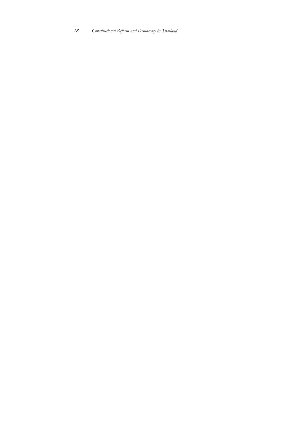*Constitutional Reform and Democracy in Thailand*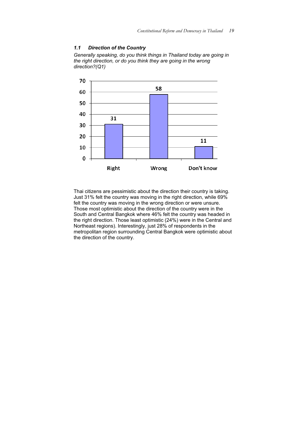### *1.1 Direction of the Country*

*Generally speaking, do you think things in Thailand today are going in the right direction, or do you think they are going in the wrong direction?(Q1)* 



Thai citizens are pessimistic about the direction their country is taking. Just 31% felt the country was moving in the right direction, while 69% felt the country was moving in the wrong direction or were unsure. Those most optimistic about the direction of the country were in the South and Central Bangkok where 46% felt the country was headed in the right direction. Those least optimistic (24%) were in the Central and Northeast regions). Interestingly, just 28% of respondents in the metropolitan region surrounding Central Bangkok were optimistic about the direction of the country.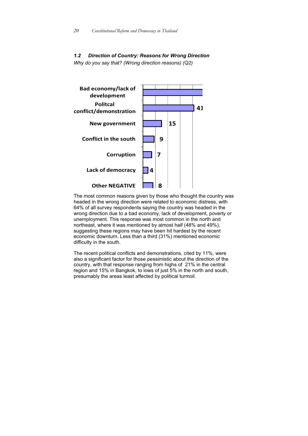### *1.2 Direction of Country: Reasons for Wrong Direction*

*Why do you say that? (Wrong direction reasons) (Q2)* 



The most common reasons given by those who thought the country was headed in the wrong direction were related to economic distress, with 64% of all survey respondents saying the country was headed in the wrong direction due to a bad economy, lack of development, poverty or unemployment. This response was most common in the north and northeast, where it was mentioned by almost half (48% and 49%), suggesting these regions may have been hit hardest by the recent economic downturn. Less than a third (31%) mentioned economic difficulty in the south.

The recent political conflicts and demonstrations, cited by 11%, were also a significant factor for those pessimistic about the direction of the country, with that response ranging from highs of 21% in the central region and 15% in Bangkok, to lows of just 5% in the north and south, presumably the areas least affected by political turmoil.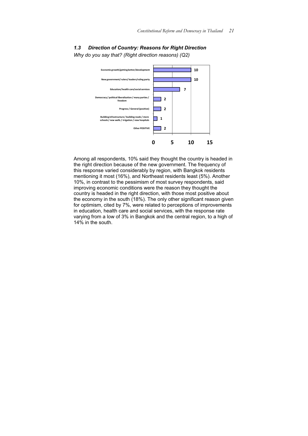### *1.3 Direction of Country: Reasons for Right Direction*

*Why do you say that? (Right direction reasons) (Q2)* 



Among all respondents, 10% said they thought the country is headed in the right direction because of the new government. The frequency of this response varied considerably by region, with Bangkok residents mentioning it most (16%), and Northeast residents least (5%). Another 10%, in contrast to the pessimism of most survey respondents, said improving economic conditions were the reason they thought the country is headed in the right direction, with those most positive about the economy in the south (18%). The only other significant reason given for optimism, cited by 7%, were related to perceptions of improvements in education, health care and social services, with the response rate varying from a low of 3% in Bangkok and the central region, to a high of 14% in the south.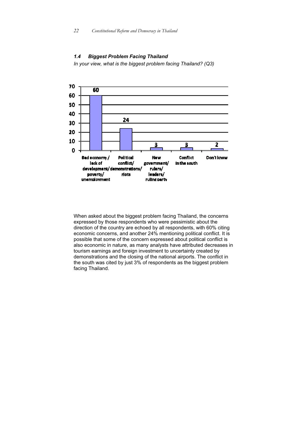### *1.4 Biggest Problem Facing Thailand*

*In your view, what is the biggest problem facing Thailand? (Q3)* 



When asked about the biggest problem facing Thailand, the concerns expressed by those respondents who were pessimistic about the direction of the country are echoed by all respondents, with 60% citing economic concerns, and another 24% mentioning political conflict. It is possible that some of the concern expressed about political conflict is also economic in nature, as many analysts have attributed decreases in tourism earnings and foreign investment to uncertainty created by demonstrations and the closing of the national airports. The conflict in the south was cited by just 3% of respondents as the biggest problem facing Thailand.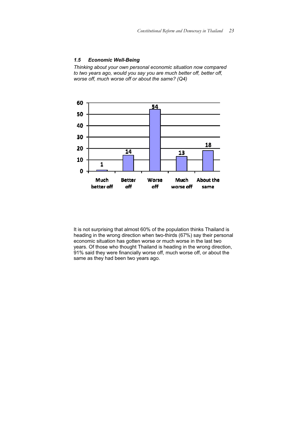### *1.5 Economic Well-Being*

*Thinking about your own personal economic situation now compared to two years ago, would you say you are much better off, better off, worse off, much worse off or about the same? (Q4)* 



heading in the wrong direction when two-thirds (67%) say their personal 91% said they were financially worse off, much worse off, or about the same as they had been two years ago. It is not surprising that almost 60% of the population thinks Thailand is economic situation has gotten worse or much worse in the last two years. Of those who thought Thailand is heading in the wrong direction,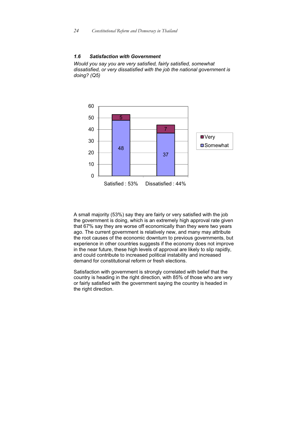### *1.6 Satisfaction with Government*

*Would you say you are very satisfied, fairly satisfied, somewhat dissatisfied, or very dissatisfied with the job the national government is doing? (Q5)* 



A small majority (53%) say they are fairly or very satisfied with the job the government is doing, which is an extremely high approval rate given that 67% say they are worse off economically than they were two years ago. The current government is relatively new, and many may attribute the root causes of the economic downturn to previous governments, but experience in other countries suggests if the economy does not improve in the near future, these high levels of approval are likely to slip rapidly, and could contribute to increased political instability and increased demand for constitutional reform or fresh elections.

Satisfaction with government is strongly correlated with belief that the country is heading in the right direction, with 85% of those who are very or fairly satisfied with the government saying the country is headed in the right direction.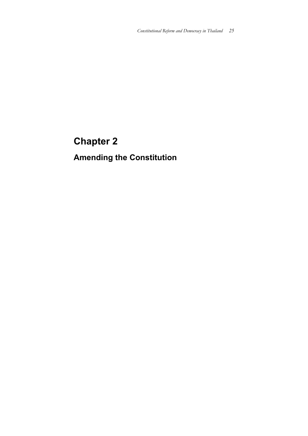### **Chapter 2**

### **2 Amending the Constitution**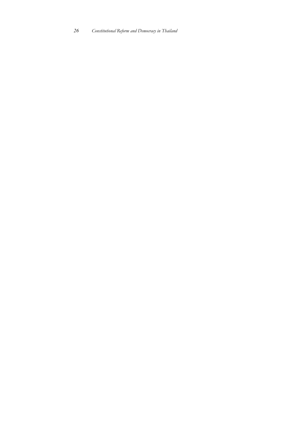*Constitutional Reform and Democracy in Thailand*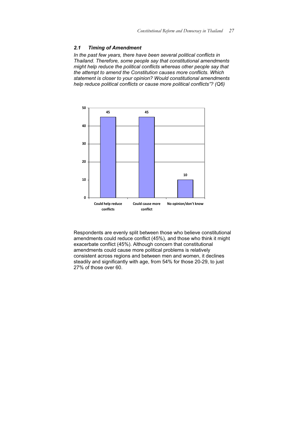### *2.1 Timing of Amendment*

*In the past few years, there have been several political conflicts in Thailand. Therefore, some people say that constitutional amendments might help reduce the political conflicts whereas other people say that the attempt to amend the Constitution causes more conflicts. Which statement is closer to your opinion? Would constitutional amendments help reduce political conflicts or cause more political conflicts"? (Q6)* 



Respondents are evenly split between those who believe constitutional amendments could reduce conflict (45%), and those who think it might exacerbate conflict (45%). Although concern that constitutional amendments could cause more political problems is relatively consistent across regions and between men and women, it declines steadily and significantly with age, from 54% for those 20-29, to just 27% of those over 60.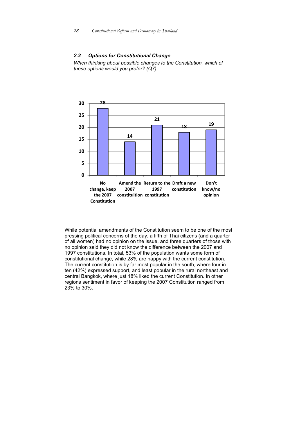### *2.2 Options for Constitutional Change*

*When thinking about possible changes to the Constitution, which of these options would you prefer? (Q7)* 



While potential amendments of the Constitution seem to be one of the most pressing political concerns of the day, a fifth of Thai citizens (and a quarter of all women) had no opinion on the issue, and three quarters of those with no opinion said they did not know the difference between the 2007 and 1997 constitutions. In total, 53% of the population wants some form of constitutional change, while 28% are happy with the current constitution. The current constitution is by far most popular in the south, where four in ten (42%) expressed support, and least popular in the rural northeast and central Bangkok, where just 18% liked the current Constitution. In other regions sentiment in favor of keeping the 2007 Constitution ranged from 23% to 30%.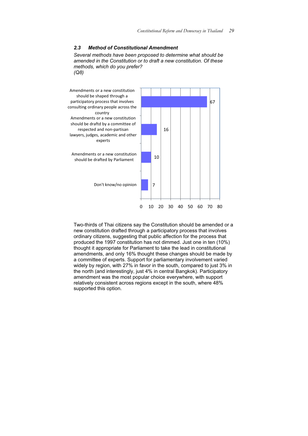### *2.3 Method of Constitutional Amendment*

*Several methods have been proposed to determine what should be amended in the Constitution or to draft a new constitution. Of these methods, which do you prefer? (Q8)* 



Two-thirds of Thai citizens say the Constitution should be amended or a new constitution drafted through a participatory process that involves ordinary citizens, suggesting that public affection for the process that produced the 1997 constitution has not dimmed. Just one in ten (10%) thought it appropriate for Parliament to take the lead in constitutional amendments, and only 16% thought these changes should be made by a committee of experts. Support for parliamentary involvement varied widely by region, with 27% in favor in the south, compared to just 3% in the north (and interestingly, just 4% in central Bangkok). Participatory amendment was the most popular choice everywhere, with support relatively consistent across regions except in the south, where 48% supported this option.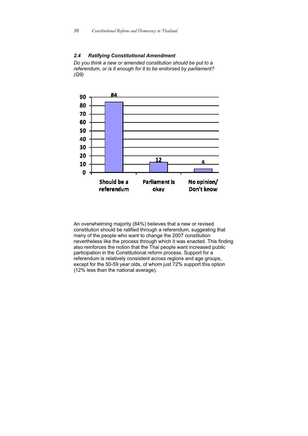### *2.4 Ratifying Constitutional Amendment*

*Do you think a new or amended constitution should be put to a referendum, or is it enough for it to be endorsed by parliament? (Q9)* 



An overwhelming majority (84%) believes that a new or revised constitution should be ratified through a referendum, suggesting that many of the people who want to change the 2007 constitution nevertheless like the process through which it was enacted. This finding also reinforces the notion that the Thai people want increased public participation in the Constitutional reform process. Support for a referendum is relatively consistent across regions and age groups, except for the 50-59 year olds, of whom just 72% support this option (12% less than the national average).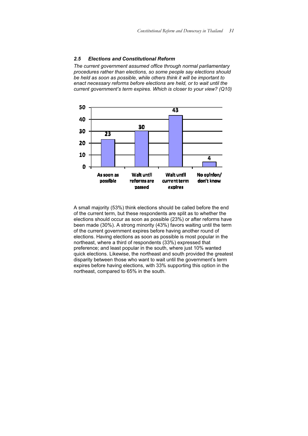### *2.5 Elections and Constitutional Reform*

*The current government assumed office through normal parliamentary procedures rather than elections, so some people say elections should be held as soon as possible, while others think it will be important to enact necessary reforms before elections are held, or to wait until the current government's term expires. Which is closer to your view? (Q10)* 



A small majority (53%) think elections should be called before the end of the current term, but these respondents are split as to whether the elections should occur as soon as possible (23%) or after reforms have been made (30%). A strong minority (43%) favors waiting until the term of the current government expires before having another round of elections. Having elections as soon as possible is most popular in the northeast, where a third of respondents (33%) expressed that preference; and least popular in the south, where just 10% wanted quick elections. Likewise, the northeast and south provided the greatest disparity between those who want to wait until the government's term expires before having elections, with 33% supporting this option in the northeast, compared to 65% in the south.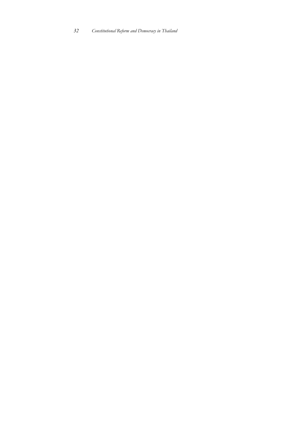*Constitutional Reform and Democracy in Thailand*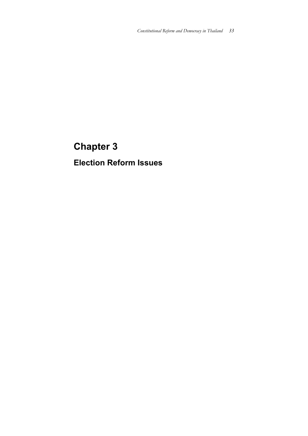# **Chapter 3 3 Election Reform Issues**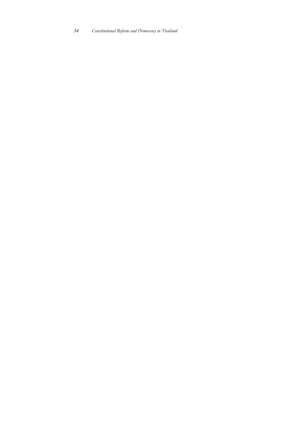*Constitutional Reform and Democracy in Thailand*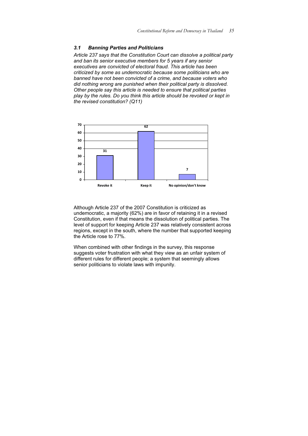### *3.1 Banning Parties and Politicians*

*Article 237 says that the Constitution Court can dissolve a political party and ban its senior executive members for 5 years if any senior executives are convicted of electoral fraud. This article has been criticized by some as undemocratic because some politicians who are banned have not been convicted of a crime, and because voters who did nothing wrong are punished when their political party is dissolved. Other people say this article is needed to ensure that political parties play by the rules. Do you think this article should be revoked or kept in the revised constitution? (Q11)* 



Although Article 237 of the 2007 Constitution is criticized as undemocratic, a majority (62%) are in favor of retaining it in a revised Constitution, even if that means the dissolution of political parties. The level of support for keeping Article 237 was relatively consistent across regions, except in the south, where the number that supported keeping the Article rose to 77%.

When combined with other findings in the survey, this response suggests voter frustration with what they view as an unfair system of different rules for different people; a system that seemingly allows senior politicians to violate laws with impunity.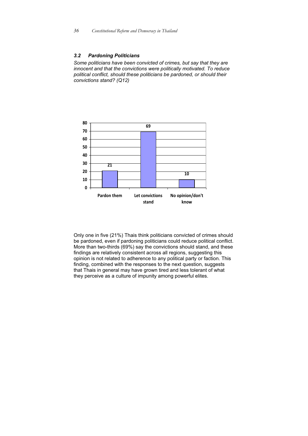# *3.2 Pardoning Politicians*

*Some politicians have been convicted of crimes, but say that they are innocent and that the convictions were politically motivated. To reduce political conflict, should these politicians be pardoned, or should their convictions stand? (Q12)* 



Only one in five (21%) Thais think politicians convicted of crimes should be pardoned, even if pardoning politicians could reduce political conflict. More than two-thirds (69%) say the convictions should stand, and these findings are relatively consistent across all regions, suggesting this opinion is not related to adherence to any political party or faction. This finding, combined with the responses to the next question, suggests that Thais in general may have grown tired and less tolerant of what they perceive as a culture of impunity among powerful elites.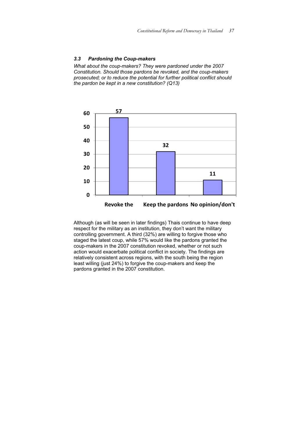# *3.3 Pardoning the Coup-makers*

*What about the coup-makers? They were pardoned under the 2007 Constitution. Should those pardons be revoked, and the coup-makers prosecuted; or to reduce the potential for further political conflict should the pardon be kept in a new constitution? (Q13)* 



Although (as will be seen in later findings) Thais continue to have deep respect for the military as an institution, they don't want the military controlling government. A third (32%) are willing to forgive those who staged the latest coup, while 57% would like the pardons granted the coup-makers in the 2007 constitution revoked, whether or not such action would exacerbate political conflict in society. The findings are relatively consistent across regions, with the south being the region least willing (just 24%) to forgive the coup-makers and keep the pardons granted in the 2007 constitution.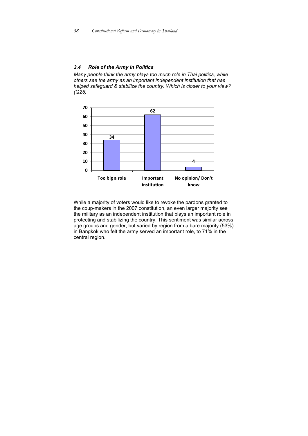### *3.4 Role of the Army in Politics*

*Many people think the army plays too much role in Thai politics, while others see the army as an important independent institution that has helped safeguard & stabilize the country. Which is closer to your view? (Q25)* 



While a majority of voters would like to revoke the pardons granted to the coup-makers in the 2007 constitution, an even larger majority see the military as an independent institution that plays an important role in protecting and stabilizing the country. This sentiment was similar across age groups and gender, but varied by region from a bare majority (53%) in Bangkok who felt the army served an important role, to 71% in the central region.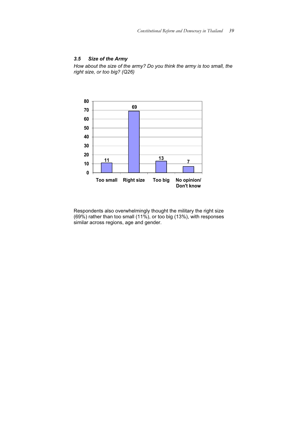# *3.5 Size of the Army*

*How about the size of the army? Do you think the army is too small, the right size, or too big? (Q26)* 



Respondents also overwhelmingly thought the military the right size (69%) rather than too small (11%), or too big (13%), with responses similar across regions, age and gender.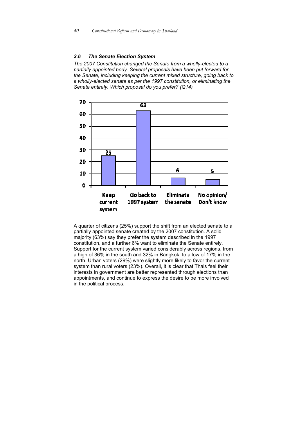#### *3.6 The Senate Election System*

*The 2007 Constitution changed the Senate from a wholly-elected to a partially appointed body. Several proposals have been put forward for the Senate; including keeping the current mixed structure, going back to a wholly-elected senate as per the 1997 constitution, or eliminating the Senate entirely. Which proposal do you prefer? (Q14)* 



A quarter of citizens (25%) support the shift from an elected senate to a partially appointed senate created by the 2007 constitution. A solid majority (63%) say they prefer the system described in the 1997 constitution, and a further 6% want to eliminate the Senate entirely. Support for the current system varied considerably across regions, from a high of 36% in the south and 32% in Bangkok, to a low of 17% in the north. Urban voters (29%) were slightly more likely to favor the current system than rural voters (23%). Overall, it is clear that Thais feel their interests in government are better represented through elections than appointments, and continue to express the desire to be more involved in the political process.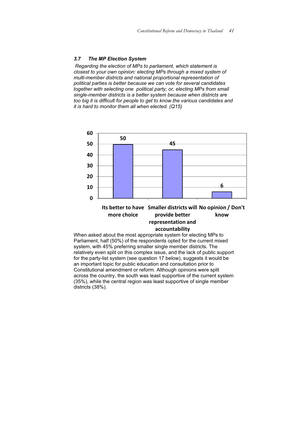#### *3.7 The MP Election System*

*Regarding the election of MPs to parliament, which statement is closest to your own opinion: electing MPs through a mixed system of multi-member districts and national proportional representation of political parties is better because we can vote for several candidates together with selecting one political party; or, electing MPs from small single-member districts is a better system because when districts are too big it is difficult for people to get to know the various candidates and it is hard to monitor them all when elected. (Q15)* 



When asked about the most appropriate system for electing MPs to Parliament, half (50%) of the respondents opted for the current mixed system, with 45% preferring smaller single member districts. The relatively even split on this complex issue, and the lack of public support for the party-list system (see question 17 below), suggests it would be an important topic for public education and consultation prior to Constitutional amendment or reform. Although opinions were split across the country, the south was least supportive of the current system (35%), while the central region was least supportive of single member districts (38%).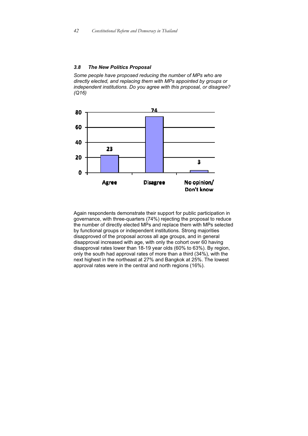### *3.8 The New Politics Proposal*

*Some people have proposed reducing the number of MPs who are directly elected, and replacing them with MPs appointed by groups or independent institutions. Do you agree with this proposal, or disagree? (Q16)* 



Again respondents demonstrate their support for public participation in governance, with three-quarters (74%) rejecting the proposal to reduce the number of directly elected MPs and replace them with MPs selected by functional groups or independent institutions. Strong majorities disapproved of the proposal across all age groups, and in general disapproval increased with age, with only the cohort over 60 having disapproval rates lower than 18-19 year olds (60% to 63%). By region, only the south had approval rates of more than a third (34%), with the next highest in the northeast at 27% and Bangkok at 25%. The lowest approval rates were in the central and north regions (16%).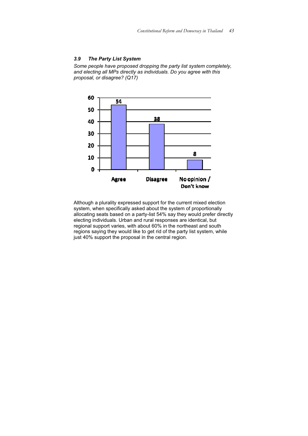# *3.9 The Party List System*

*Some people have proposed dropping the party list system completely, and electing all MPs directly as individuals. Do you agree with this proposal, or disagree? (Q17)* 



Although a plurality expressed support for the current mixed election system, when specifically asked about the system of proportionally allocating seats based on a party-list 54% say they would prefer directly electing individuals. Urban and rural responses are identical, but regional support varies, with about 60% in the northeast and south regions saying they would like to get rid of the party list system, while just 40% support the proposal in the central region.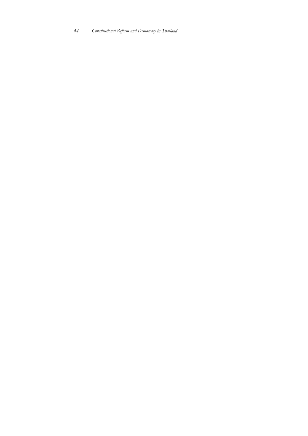*Constitutional Reform and Democracy in Thailand*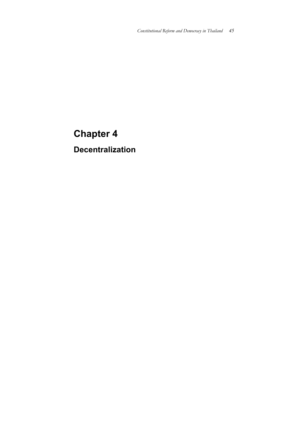# **Chapter 4**

# **4 Decentralization**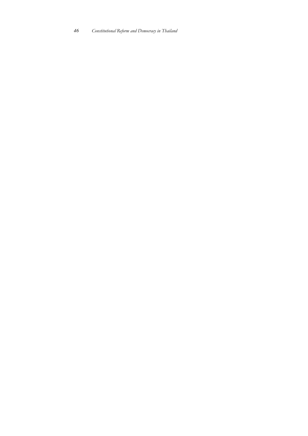*Constitutional Reform and Democracy in Thailand*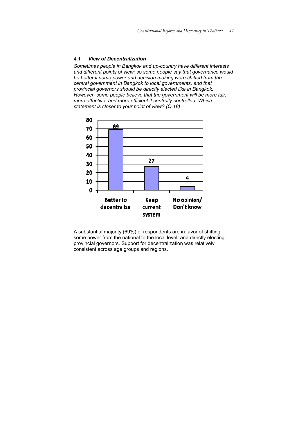#### *4.1 View of Decentralization*

*Sometimes people in Bangkok and up-country have different interests and different points of view; so some people say that governance would be better if some power and decision making were shifted from the central government in Bangkok to local governments, and that provincial governors should be directly elected like in Bangkok. However, some people believe that the government will be more fair, more effective, and more efficient if centrally controlled. Which statement is closer to your point of view? (Q.18)* 



A substantial majority (69%) of respondents are in favor of shifting some power from the national to the local level, and directly electing provincial governors. Support for decentralization was relatively consistent across age groups and regions.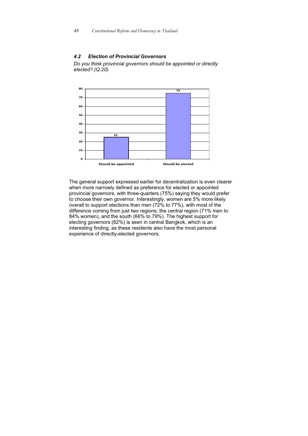# *4.2 Election of Provincial Governors*

*Do you think provincial governors should be appointed or directly elected? (Q.20)* 



The general support expressed earlier for decentralization is even clearer when more narrowly defined as preference for elected or appointed provincial governors, with three-quarters (75%) saying they would prefer to choose their own governor. Interestingly, women are 5% more likely overall to support elections than men (72% to 77%), with most of the difference coming from just two regions; the central region (71% men to 84% women), and the south (66% to 79%). The highest support for electing governors (82%) is seen in central Bangkok, which is an interesting finding, as these residents also have the most personal experience of directly-elected governors.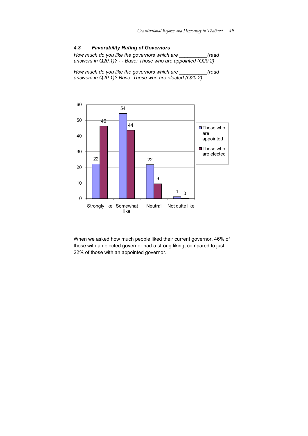# *4.3 Favorability Rating of Governors*

*How much do you like the governors which are \_\_\_\_\_\_\_\_\_\_(read answers in Q20.1)? - - Base: Those who are appointed (Q20.2)*

*How much do you like the governors which are \_\_\_\_\_\_\_\_\_\_(read answers in Q20.1)? Base: Those who are elected (Q20.2)* 



When we asked how much people liked their current governor, 46% of those with an elected governor had a strong liking, compared to just 22% of those with an appointed governor.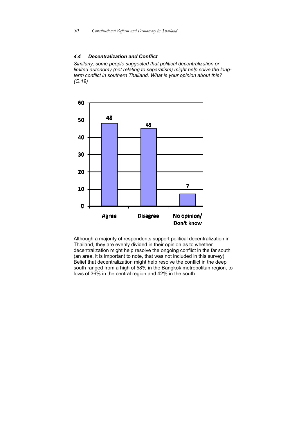#### *4.4 Decentralization and Conflict*

*Similarly, some people suggested that political decentralization or limited autonomy (not relating to separatism) might help solve the longterm conflict in southern Thailand. What is your opinion about this? (Q.19)* 



Although a majority of respondents support political decentralization in Thailand, they are evenly divided in their opinion as to whether decentralization might help resolve the ongoing conflict in the far south (an area, it is important to note, that was not included in this survey). Belief that decentralization might help resolve the conflict in the deep south ranged from a high of 58% in the Bangkok metropolitan region, to lows of 36% in the central region and 42% in the south.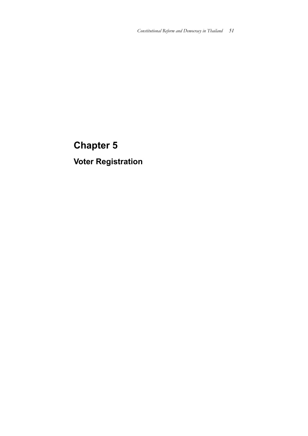# **Chapter 5 5 Voter Registration**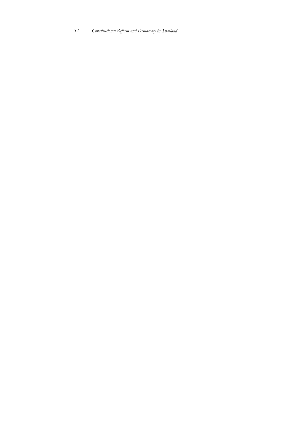*Constitutional Reform and Democracy in Thailand*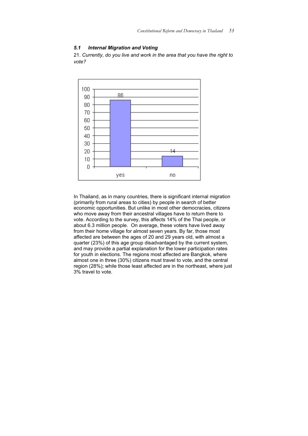# *5.1 Internal Migration and Voting*

21. *Currently, do you live and work in the area that you have the right to vote?*



In Thailand, as in many countries, there is significant internal migration (primarily from rural areas to cities) by people in search of better economic opportunities. But unlike in most other democracies, citizens who move away from their ancestral villages have to return there to vote. According to the survey, this affects 14% of the Thai people, or about 6.3 million people. On average, these voters have lived away from their home village for almost seven years. By far, those most affected are between the ages of 20 and 29 years old, with almost a quarter (23%) of this age group disadvantaged by the current system, and may provide a partial explanation for the lower participation rates for youth in elections. The regions most affected are Bangkok, where almost one in three (30%) citizens must travel to vote, and the central region (28%); while those least affected are in the northeast, where just 3% travel to vote.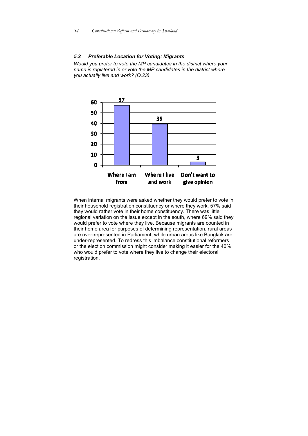# *5.2 Preferable Location for Voting: Migrants*

*Would you prefer to vote the MP candidates in the district where your name is registered in or vote the MP candidates in the district where you actually live and work? (Q.23)* 



When internal migrants were asked whether they would prefer to vote in their household registration constituency or where they work, 57% said they would rather vote in their home constituency. There was little regional variation on the issue except in the south, where 69% said they would prefer to vote where they live. Because migrants are counted in their home area for purposes of determining representation, rural areas are over-represented in Parliament, while urban areas like Bangkok are under-represented. To redress this imbalance constitutional reformers or the election commission might consider making it easier for the 40% who would prefer to vote where they live to change their electoral registration.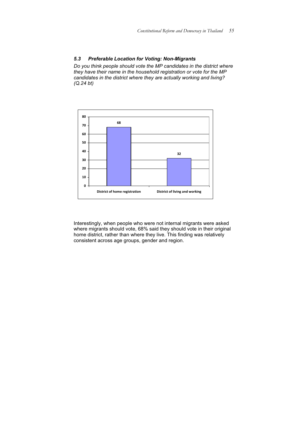# *5.3 Preferable Location for Voting: Non-Migrants*

*Do you think people should vote the MP candidates in the district where they have their name in the household registration or vote for the MP candidates in the district where they are actually working and living? (Q.24 bt)* 



Interestingly, when people who were not internal migrants were asked where migrants should vote, 68% said they should vote in their original home district, rather than where they live. This finding was relatively consistent across age groups, gender and region.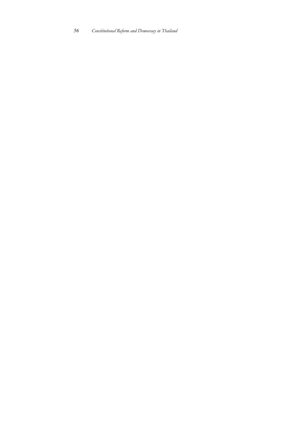*Constitutional Reform and Democracy in Thailand*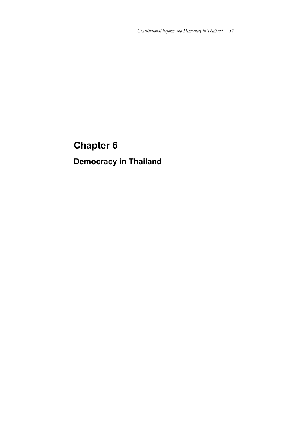# **Chapter 6**

# **6 Democracy in Thailand**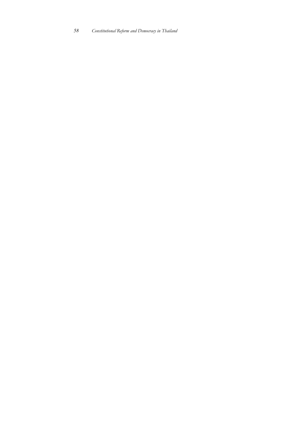*Constitutional Reform and Democracy in Thailand*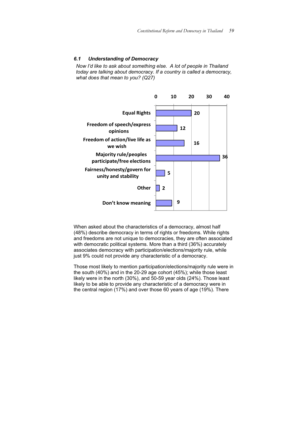# *6.1 Understanding of Democracy*

*Now I'd like to ask about something else. A lot of people in Thailand today are talking about democracy. If a country is called a democracy, what does that mean to you? (Q27)* 



When asked about the characteristics of a democracy, almost half (48%) describe democracy in terms of rights or freedoms. While rights and freedoms are not unique to democracies, they are often associated with democratic political systems. More than a third (36%) accurately associates democracy with participation/elections/majority rule, while just 9% could not provide any characteristic of a democracy.

Those most likely to mention participation/elections/majority rule were in the south (40%) and in the 20-29 age cohort (45%); while those least likely were in the north (30%), and 50-59 year olds (24%). Those least likely to be able to provide any characteristic of a democracy were in the central region (17%) and over those 60 years of age (19%). There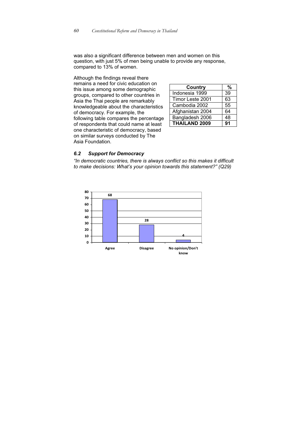was also a significant difference between men and women on this question, with just 5% of men being unable to provide any response, compared to 13% of women.

Although the findings reveal there remains a need for civic education on this issue among some demographic groups, compared to other countries in Asia the Thai people are remarkably knowledgeable about the characteristics of democracy. For example, the following table compares the percentage of respondents that could name at least one characteristic of democracy, based on similar surveys conducted by The Asia Foundation.

| Country              | %  |
|----------------------|----|
| Indonesia 1999       | 39 |
| Timor Leste 2001     | 63 |
| Cambodia 2002        | 55 |
| Afghanistan 2004     | 64 |
| Bangladesh 2006      | 48 |
| <b>THAILAND 2009</b> | 91 |

# *6.2 Support for Democracy*

*"In democratic countries, there is always conflict so this makes it difficult to make decisions: What's your opinion towards this statement?" (Q29)* 

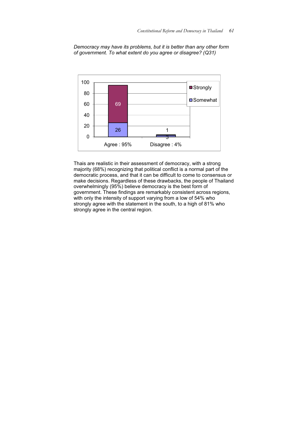*Democracy may have its problems, but it is better than any other form of government. To what extent do you agree or disagree? (Q31)* 



Thais are realistic in their assessment of democracy, with a strong majority (68%) recognizing that political conflict is a normal part of the democratic process, and that it can be difficult to come to consensus or make decisions. Regardless of these drawbacks, the people of Thailand overwhelmingly (95%) believe democracy is the best form of government. These findings are remarkably consistent across regions, with only the intensity of support varying from a low of 54% who strongly agree with the statement in the south, to a high of 81% who strongly agree in the central region.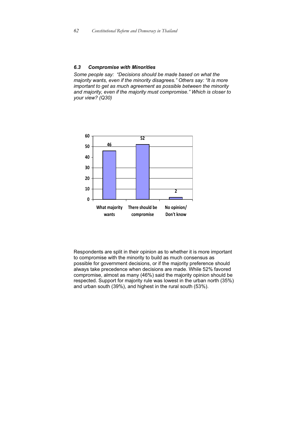### *6.3 Compromise with Minorities*

*Some people say: "Decisions should be made based on what the majority wants, even if the minority disagrees." Others say: "It is more important to get as much agreement as possible between the minority and majority, even if the majority must compromise." Which is closer to your view? (Q30)* 



Respondents are split in their opinion as to whether it is more important to compromise with the minority to build as much consensus as possible for government decisions, or if the majority preference should always take precedence when decisions are made. While 52% favored compromise, almost as many (46%) said the majority opinion should be respected. Support for majority rule was lowest in the urban north (35%) and urban south (39%), and highest in the rural south (53%).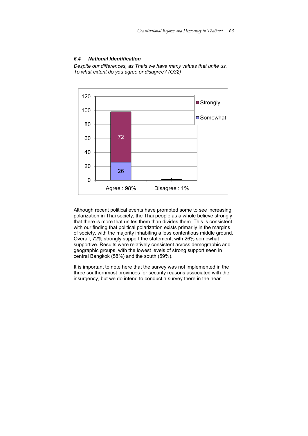#### *6.4 National Identification*

*Despite our differences, as Thais we have many values that unite us. To what extent do you agree or disagree? (Q32)* 



Although recent political events have prompted some to see increasing polarization in Thai society, the Thai people as a whole believe strongly that there is more that unites them than divides them. This is consistent with our finding that political polarization exists primarily in the margins of society, with the majority inhabiting a less contentious middle ground. Overall, 72% strongly support the statement, with 26% somewhat supportive. Results were relatively consistent across demographic and geographic groups, with the lowest levels of strong support seen in central Bangkok (58%) and the south (59%).

It is important to note here that the survey was not implemented in the three southernmost provinces for security reasons associated with the insurgency, but we do intend to conduct a survey there in the near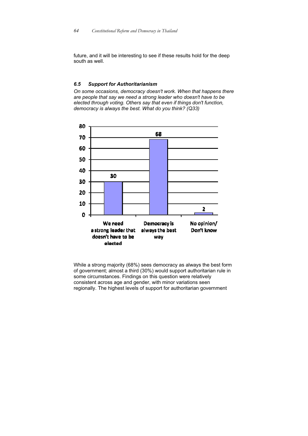future, and it will be interesting to see if these results hold for the deep south as well.

## *6.5 Support for Authoritarianism*

*On some occasions, democracy doesn't work. When that happens there are people that say we need a strong leader who doesn't have to be elected through voting. Others say that even if things don't function, democracy is always the best. What do you think? (Q33)* 



While a strong majority (68%) sees democracy as always the best form of government; almost a third (30%) would support authoritarian rule in some circumstances. Findings on this question were relatively consistent across age and gender, with minor variations seen regionally. The highest levels of support for authoritarian government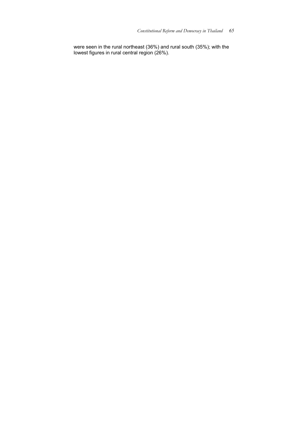were seen in the rural northeast (36%) and rural south (35%); with the lowest figures in rural central region (26%).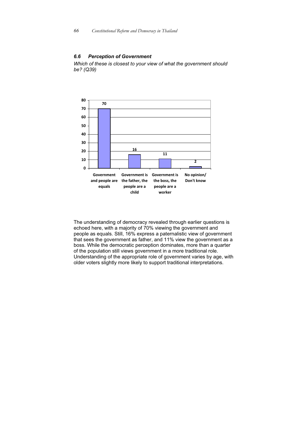### *6.6 Perception of Government*

*Which of these is closest to your view of what the government should be? (Q39)* 



The understanding of democracy revealed through earlier questions is echoed here, with a majority of 70% viewing the government and people as equals. Still, 16% express a paternalistic view of government that sees the government as father, and 11% view the government as a boss. While the democratic perception dominates, more than a quarter of the population still views government in a more traditional role. Understanding of the appropriate role of government varies by age, with older voters slightly more likely to support traditional interpretations.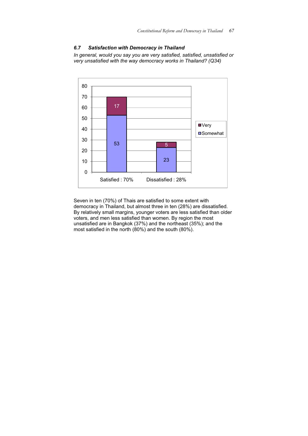# *6.7 Satisfaction with Democracy in Thailand*

*In general, would you say you are very satisfied, satisfied, unsatisfied or very unsatisfied with the way democracy works in Thailand? (Q34)* 



Seven in ten (70%) of Thais are satisfied to some extent with democracy in Thailand, but almost three in ten (28%) are dissatisfied. By relatively small margins, younger voters are less satisfied than older voters, and men less satisfied than women. By region the most unsatisfied are in Bangkok (37%) and the northeast (35%); and the most satisfied in the north (80%) and the south (80%).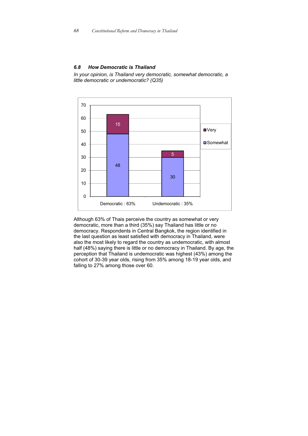# *6.8 How Democratic is Thailand*

*In your opinion, is Thailand very democratic, somewhat democratic, a little democratic or undemocratic? (Q35)* 



Although 63% of Thais perceive the country as somewhat or very democratic, more than a third (35%) say Thailand has little or no democracy. Respondents in Central Bangkok, the region identified in the last question as least satisfied with democracy in Thailand, were also the most likely to regard the country as undemocratic, with almost half (48%) saying there is little or no democracy in Thailand. By age, the perception that Thailand is undemocratic was highest (43%) among the cohort of 30-39 year olds, rising from 35% among 18-19 year olds, and falling to 27% among those over 60.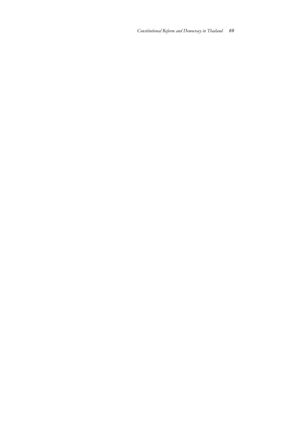*Constitutional Reform and Democracy in Thailand 69*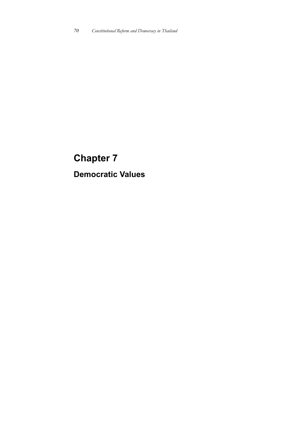# **Chapter 7 Democratic Values**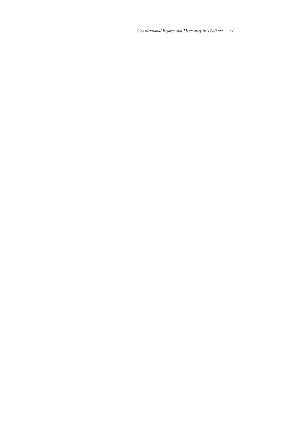*Constitutional Reform and Democracy in Thailand 71*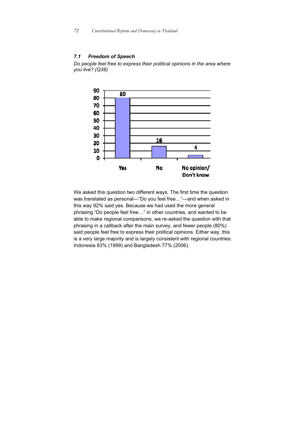#### *7.1 Freedom of Speech*

*Do people feel free to express their political opinions in the area where you live? (Q38)* 



We asked this question two different ways. The first time the question was translated as personal—"Do you feel free…"—and when asked in this way 92% said yes. Because we had used the more general phrasing "Do people feel free…" in other countries, and wanted to be able to make regional comparisons, we re-asked the question with that phrasing in a callback after the main survey, and fewer people (80%) said people feel free to express their political opinions. Either way, this is a very large majority and is largely consistent with regional countries: Indonesia 83% (1999) and Bangladesh 77% (2006).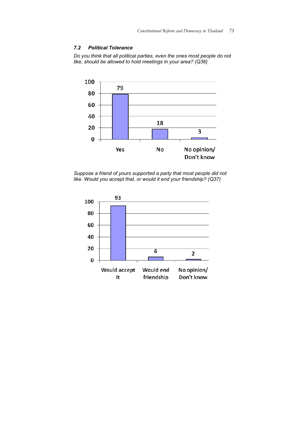#### *7.2 Political Tolerance*

*Do you think that all political parties, even the ones most people do not like, should be allowed to hold meetings in your area? (Q36)* 



*Suppose a friend of yours supported a party that most people did not like. Would you accept that, or would it end your friendship? (Q37)* 

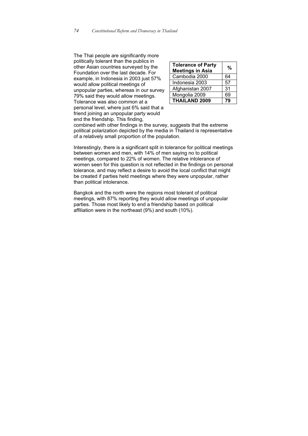The Thai people are significantly more politically tolerant than the publics in other Asian countries surveyed by the Foundation over the last decade. For example, in Indonesia in 2003 just 57% would allow political meetings of unpopular parties, whereas in our survey 79% said they would allow meetings. Tolerance was also common at a personal level, where just 6% said that a friend joining an unpopular party would end the friendship. This finding,

| <b>Tolerance of Party</b><br><b>Meetings in Asia</b> | %  |
|------------------------------------------------------|----|
| Cambodia 2000                                        | 64 |
| Indonesia 2003                                       | 57 |
| Afghanistan 2007                                     | 31 |
| Mongolia 2009                                        | 69 |
| <b>THAILAND 2009</b>                                 | 70 |

combined with other findings in the survey, suggests that the extreme political polarization depicted by the media in Thailand is representative of a relatively small proportion of the population.

Interestingly, there is a significant split in tolerance for political meetings between women and men, with 14% of men saying no to political meetings, compared to 22% of women. The relative intolerance of women seen for this question is not reflected in the findings on personal tolerance, and may reflect a desire to avoid the local conflict that might be created if parties held meetings where they were unpopular, rather than political intolerance.

Bangkok and the north were the regions most tolerant of political meetings, with 87% reporting they would allow meetings of unpopular parties. Those most likely to end a friendship based on political affiliation were in the northeast (9%) and south (10%).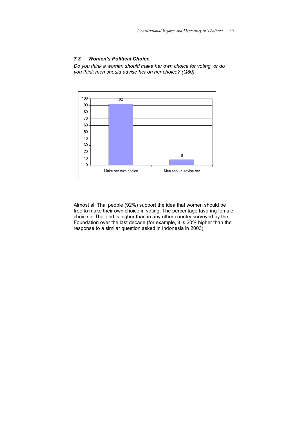#### *7.3 Women's Political Choice*

*Do you think a woman should make her own choice for voting, or do you think men should advise her on her choice? (Q80)* 



Almost all Thai people (92%) support the idea that women should be free to make their own choice in voting. The percentage favoring female choice in Thailand is higher than in any other country surveyed by the Foundation over the last decade (for example, it is 20% higher than the response to a similar question asked in Indonesia in 2003).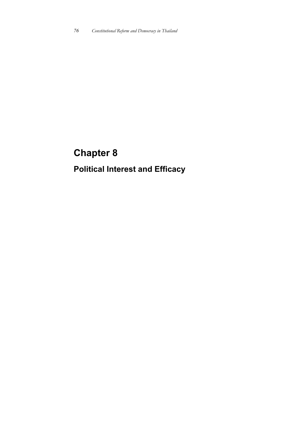### **Chapter 8**

### **Political Interest and Efficacy**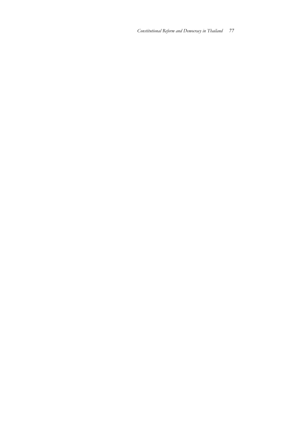*Constitutional Reform and Democracy in Thailand 77*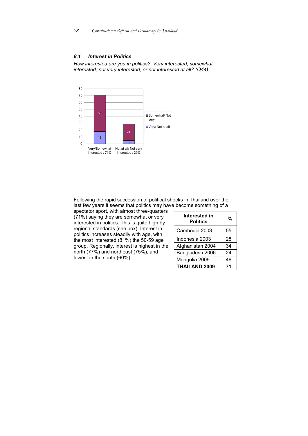#### *8.1 Interest in Politics*

*How interested are you in politics? Very interested, somewhat interested, not very interested, or not interested at all? (Q44)* 



Following the rapid succession of political shocks in Thailand over the last few years it seems that politics may have become something of a

spectator sport, with almost three-quarters (71%) saying they are somewhat or very interested in politics. This is quite high by regional standards (see box). Interest in politics increases steadily with age, with the most interested (81%) the 50-59 age group. Regionally, interest is highest in the north (77%) and northeast (75%), and lowest in the south (60%).

| Interested in<br><b>Politics</b> | %  |
|----------------------------------|----|
| Cambodia 2003                    | 55 |
| Indonesia 2003                   | 28 |
| Afghanistan 2004                 | 34 |
| Bangladesh 2006                  | 24 |
| Mongolia 2009                    | 46 |
| <b>THAILAND 2009</b>             | 71 |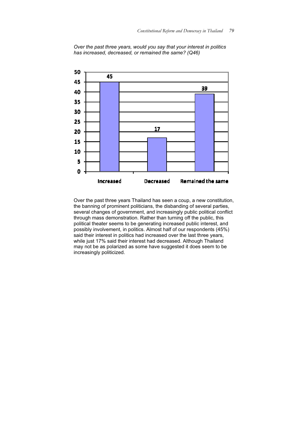*Over the past three years, would you say that your interest in politics has increased, decreased, or remained the same? (Q46)* 



Over the past three years Thailand has seen a coup, a new constitution, the banning of prominent politicians, the disbanding of several parties, several changes of government, and increasingly public political conflict through mass demonstration. Rather than turning off the public, this political theater seems to be generating increased public interest, and possibly involvement, in politics. Almost half of our respondents (45%) said their interest in politics had increased over the last three years, while just 17% said their interest had decreased. Although Thailand may not be as polarized as some have suggested it does seem to be increasingly politicized.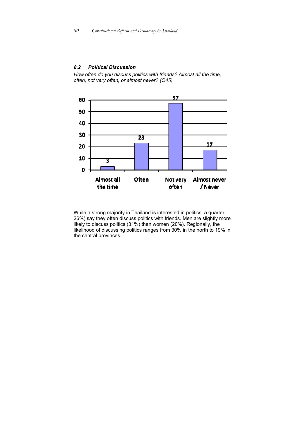#### *8.2 Political Discussion*

*How often do you discuss politics with friends? Almost all the time, often, not very often, or almost never? (Q45)* 



While a strong majority in Thailand is interested in politics, a quarter 26%) say they often discuss politics with friends. Men are slightly more likely to discuss politics (31%) than women (20%). Regionally, the likelihood of discussing politics ranges from 30% in the north to 19% in the central provinces.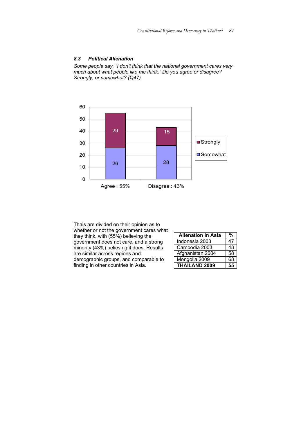#### *8.3 Political Alienation*

*Some people say, "I don't think that the national government cares very much about what people like me think." Do you agree or disagree? Strongly, or somewhat? (Q47)*



Thais are divided on their opinion as to whether or not the government cares what they think, with (55%) believing the government does not care, and a strong minority (43%) believing it does. Results are similar across regions and demographic groups, and comparable to finding in other countries in Asia.

| <b>Alienation in Asia</b> | %               |
|---------------------------|-----------------|
| Indonesia 2003            | $\overline{47}$ |
| Cambodia 2003             | 48              |
| Afghanistan 2004          | 58              |
| Mongolia 2009             | 68              |
| <b>THAILAND 2009</b>      | 55              |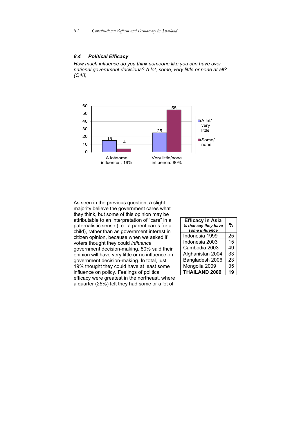#### *8.4 Political Efficacy*

*How much influence do you think someone like you can have over national government decisions? A lot, some, very little or none at all? (Q48)* 



As seen in the previous question, a slight majority believe the government cares what they think, but some of this opinion may be attributable to an interpretation of "care" in a paternalistic sense (i.e., a parent cares for a child), rather than as government interest in citizen opinion, because when we asked if voters thought they could *influence*  government decision-making, 80% said their opinion will have very little or no influence on government decision-making. In total, just 19% thought they could have at least some influence on policy. Feelings of political efficacy were greatest in the northeast, where a quarter (25%) felt they had some or a lot of

| <b>Efficacy in Asia</b><br>% that say they have<br>some influence | %  |
|-------------------------------------------------------------------|----|
| Indonesia 1999                                                    | 25 |
| Indonesia 2003                                                    | 15 |
| Cambodia 2003                                                     | 49 |
| Afghanistan 2004                                                  | 33 |
| Bangladesh 2006                                                   | 23 |
| Mongolia 2009                                                     | 35 |
| <b>THAILAND 2009</b>                                              | 19 |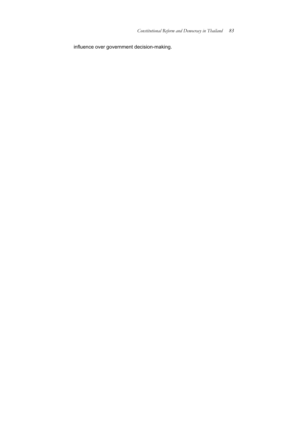influence over government decision-making.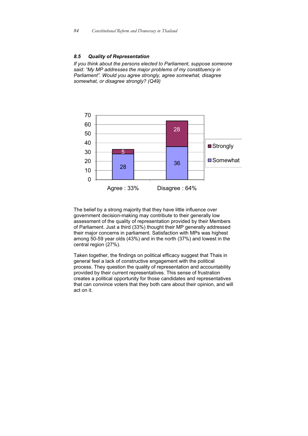#### *8.5 Quality of Representation*

*If you think about the persons elected to Parliament, suppose someone said: "My MP addresses the major problems of my constituency in Parliament". Would you agree strongly, agree somewhat, disagree somewhat, or disagree strongly? (Q49)* 



The belief by a strong majority that they have little influence over government decision-making may contribute to their generally low assessment of the quality of representation provided by their Members of Parliament. Just a third (33%) thought their MP generally addressed their major concerns in parliament. Satisfaction with MPs was highest among 50-59 year olds (43%) and in the north (37%) and lowest in the central region (27%).

Taken together, the findings on political efficacy suggest that Thais in general feel a lack of constructive engagement with the political process. They question the quality of representation and accountability provided by their current representatives. This sense of frustration creates a political opportunity for those candidates and representatives that can convince voters that they both care about their opinion, and will act on it.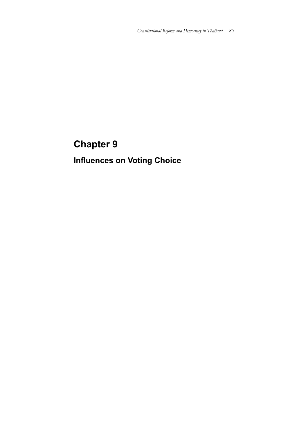## **Chapter 9**

### **9 Influences on Voting Choice**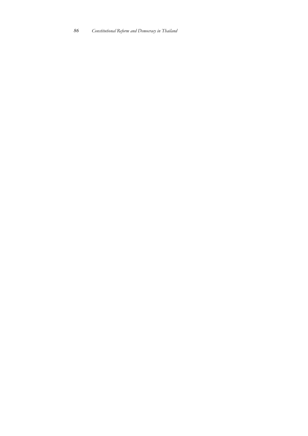*Constitutional Reform and Democracy in Thailand*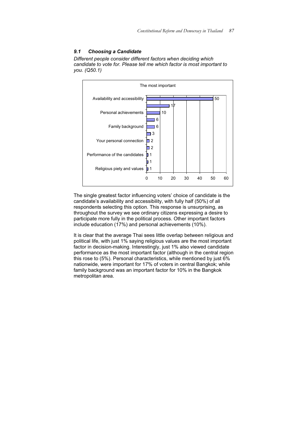#### *9.1 Choosing a Candidate*

*Different people consider different factors when deciding which candidate to vote for. Please tell me which factor is most important to you. (Q50.1)* 



The single greatest factor influencing voters' choice of candidate is the candidate's availability and accessibility, with fully half (50%) of all respondents selecting this option. This response is unsurprising, as throughout the survey we see ordinary citizens expressing a desire to participate more fully in the political process. Other important factors include education (17%) and personal achievements (10%).

It is clear that the average Thai sees little overlap between religious and political life, with just 1% saying religious values are the most important factor in decision-making. Interestingly, just 1% also viewed candidate performance as the most important factor (although in the central region this rose to (5%). Personal characteristics, while mentioned by just 6% nationwide, were important for 17% of voters in central Bangkok; while family background was an important factor for 10% in the Bangkok metropolitan area.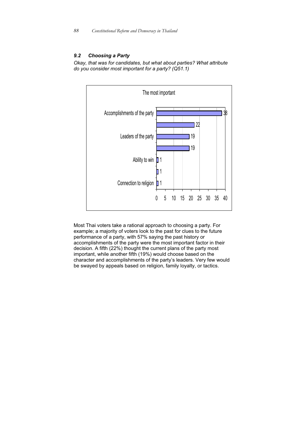#### *9.2 Choosing a Party*

*Okay, that was for candidates, but what about parties? What attribute do you consider most important for a party? (Q51.1)* 



Most Thai voters take a rational approach to choosing a party. For example; a majority of voters look to the past for clues to the future performance of a party, with 57% saying the past history or accomplishments of the party were the most important factor in their decision. A fifth (22%) thought the current plans of the party most important, while another fifth (19%) would choose based on the character and accomplishments of the party's leaders. Very few would be swayed by appeals based on religion, family loyalty, or tactics.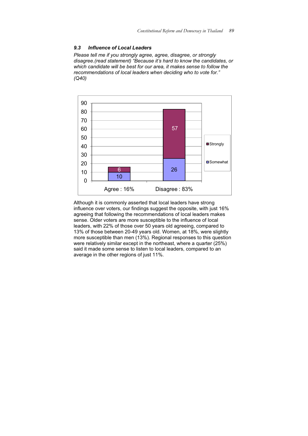#### *9.3 Influence of Local Leaders*

*Please tell me if you strongly agree, agree, disagree, or strongly disagree.(read statement) "Because it's hard to know the candidates, or which candidate will be best for our area, it makes sense to follow the recommendations of local leaders when deciding who to vote for." (Q40)* 



Although it is commonly asserted that local leaders have strong influence over voters, our findings suggest the opposite, with just 16% agreeing that following the recommendations of local leaders makes sense. Older voters are more susceptible to the influence of local leaders, with 22% of those over 50 years old agreeing, compared to 13% of those between 20-49 years old. Women, at 18%, were slightly more susceptible than men (13%). Regional responses to this question were relatively similar except in the northeast, where a quarter (25%) said it made some sense to listen to local leaders, compared to an average in the other regions of just 11%.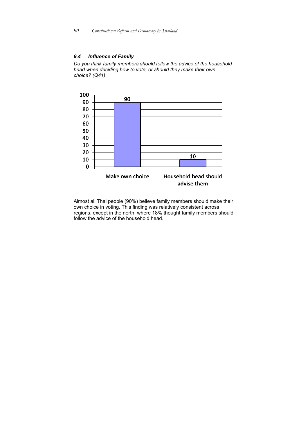#### *9.4 Influence of Family*

*Do you think family members should follow the advice of the household head when deciding how to vote, or should they make their own choice? (Q41)*



Almost all Thai people (90%) believe family members should make their own choice in voting. This finding was relatively consistent across regions, except in the north, where 18% thought family members should follow the advice of the household head.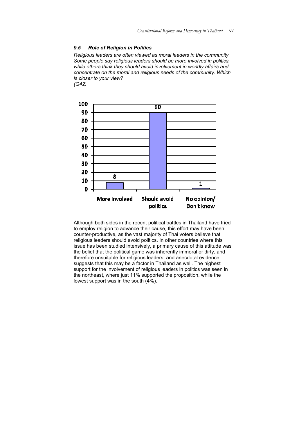#### *9.5 Role of Religion in Politics*

*Religious leaders are often viewed as moral leaders in the community. Some people say religious leaders should be more involved in politics, while others think they should avoid involvement in worldly affairs and concentrate on the moral and religious needs of the community. Which is closer to your view?* 

*(Q42)* 



Although both sides in the recent political battles in Thailand have tried to employ religion to advance their cause, this effort may have been counter-productive, as the vast majority of Thai voters believe that religious leaders should avoid politics. In other countries where this issue has been studied intensively, a primary cause of this attitude was the belief that the political game was inherently immoral or dirty, and therefore unsuitable for religious leaders; and anecdotal evidence suggests that this may be a factor in Thailand as well. The highest support for the involvement of religious leaders in politics was seen in the northeast, where just 11% supported the proposition, while the lowest support was in the south (4%).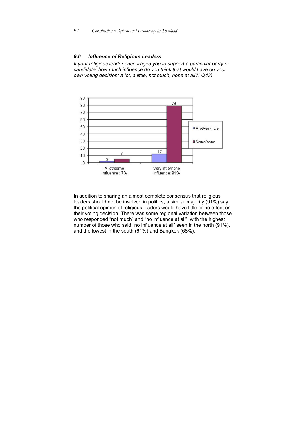#### *9.6 Influence of Religious Leaders*

*If your religious leader encouraged you to support a particular party or candidate, how much influence do you think that would have on your own voting decision; a lot, a little, not much, none at all?( Q43)* 



In addition to sharing an almost complete consensus that religious leaders should not be involved in politics, a similar majority (91%) say the political opinion of religious leaders would have little or no effect on their voting decision. There was some regional variation between those who responded "not much" and "no influence at all", with the highest number of those who said "no influence at all" seen in the north (91%), and the lowest in the south (61%) and Bangkok (68%).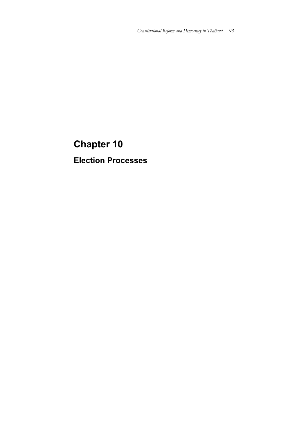## **Chapter 10**

**10 Election Processes**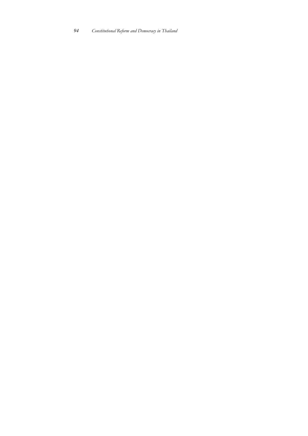*Constitutional Reform and Democracy in Thailand*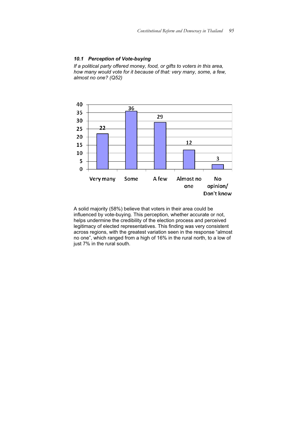#### *10.1 Perception of Vote-buying*

*If a political party offered money, food, or gifts to voters in this area, how many would vote for it because of that: very many, some, a few, almost no one? (Q52)* 



A solid majority (58%) believe that voters in their area could be influenced by vote-buying. This perception, whether accurate or not, helps undermine the credibility of the election process and perceived legitimacy of elected representatives. This finding was very consistent across regions, with the greatest variation seen in the response "almost no one", which ranged from a high of 16% in the rural north, to a low of just 7% in the rural south.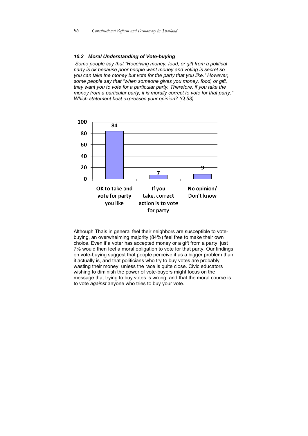#### *10.2 Moral Understanding of Vote-buying*

 *Some people say that "Receiving money, food, or gift from a political party is ok because poor people want money and voting is secret so you can take the money but vote for the party that you like." However, some people say that "when someone gives you money, food, or gift, they want you to vote for a particular party. Therefore, if you take the money from a particular party, it is morally correct to vote for that party." Which statement best expresses your opinion? (Q.53)* 



Although Thais in general feel their neighbors are susceptible to votebuying, an overwhelming majority (84%) feel free to make their own choice. Even if a voter has accepted money or a gift from a party, just 7% would then feel a moral obligation to vote for that party. Our findings on vote-buying suggest that people perceive it as a bigger problem than it actually is, and that politicians who try to buy votes are probably wasting their money, unless the race is quite close. Civic educators wishing to diminish the power of vote-buyers might focus on the message that trying to buy votes is wrong, and that the moral course is to vote *against* anyone who tries to buy your vote.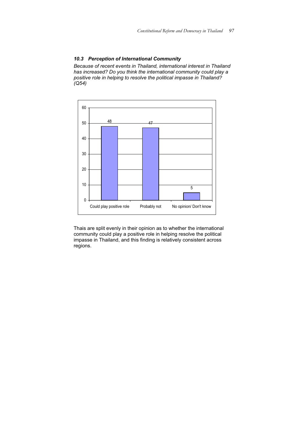#### *10.3 Perception of International Community*

*Because of recent events in Thailand, international interest in Thailand has increased? Do you think the international community could play a positive role in helping to resolve the political impasse in Thailand? (Q54)* 



Thais are split evenly in their opinion as to whether the international community could play a positive role in helping resolve the political impasse in Thailand, and this finding is relatively consistent across regions.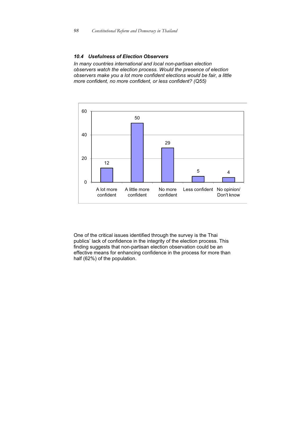#### *10.4 Usefulness of Election Observers*

*In many countries international and local non-partisan election observers watch the election process. Would the presence of election observers make you a lot more confident elections would be fair, a little more confident, no more confident, or less confident? (Q55)* 



One of the critical issues identified through the survey is the Thai publics' lack of confidence in the integrity of the election process. This finding suggests that non-partisan election observation could be an effective means for enhancing confidence in the process for more than half (62%) of the population.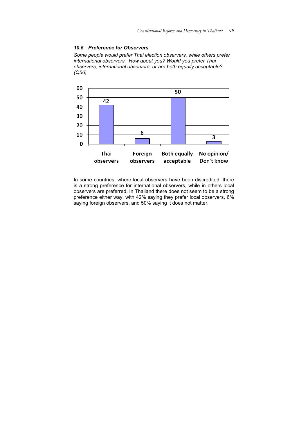#### *10.5 Preference for Observers*

*Some people would prefer Thai election observers, while others prefer international observers. How about you? Would you prefer Thai observers, international observers, or are both equally acceptable? (Q56)* 



In some countries, where local observers have been discredited, there is a strong preference for international observers, while in others local observers are preferred. In Thailand there does not seem to be a strong preference either way, with 42% saying they prefer local observers, 6% saying foreign observers, and 50% saying it does not matter.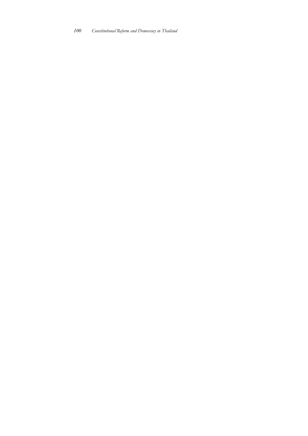*Constitutional Reform and Democracy in Thailand*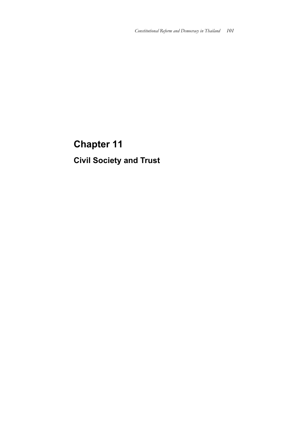# **Chapter 11 11 Civil Society and Trust**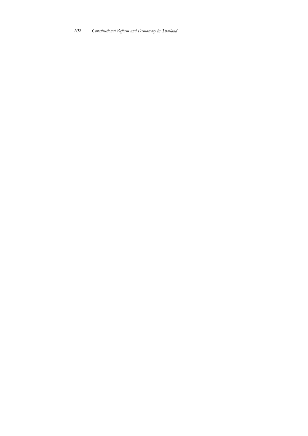*Constitutional Reform and Democracy in Thailand*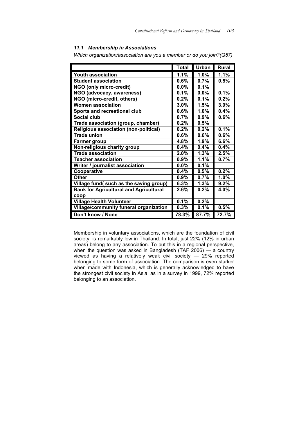#### *11.1 Membership in Associations*

*Which organization/association are you a member or do you join?(Q57)* 

|                                               | <b>Total</b> | <b>Urban</b> | <b>Rural</b> |
|-----------------------------------------------|--------------|--------------|--------------|
| <b>Youth association</b>                      | 1.1%         | 1.0%         | 1.1%         |
| <b>Student association</b>                    | 0.6%         | 0.7%         | 0.5%         |
| <b>NGO (only micro-credit)</b>                | $0.0\%$      | 0.1%         |              |
| NGO (advocacy, awareness)                     | 0.1%         | 0.0%         | 0.1%         |
| NGO (micro-credit, others)                    | 0.2%         | 0.1%         | 0.2%         |
| <b>Women association</b>                      | 3.0%         | 1.5%         | 3.9%         |
| Sports and recreational club                  | 0.6%         | 1.0%         | 0.4%         |
| <b>Social club</b>                            | 0.7%         | 0.9%         | 0.6%         |
| Trade association (group, chamber)            | 0.2%         | 0.5%         |              |
| <b>Religious association (non-political)</b>  | $0.2\%$      | 0.2%         | 0.1%         |
| <b>Trade union</b>                            | 0.6%         | 0.6%         | 0.6%         |
| <b>Farmer group</b>                           | 4.8%         | 1.9%         | 6.6%         |
| Non-religious charity group                   | 0.4%         | 0.4%         | 0.4%         |
| <b>Trade association</b>                      | 2.0%         | 1.3%         | 2.5%         |
| <b>Teacher association</b>                    | $0.9\%$      | 1.1%         | 0.7%         |
| Writer / journalist association               | 0.0%         | 0.1%         |              |
| Cooperative                                   | 0.4%         | 0.5%         | 0.2%         |
| <b>Other</b>                                  | $0.9\%$      | 0.7%         | 1.0%         |
| Village fund(such as the saving group)        | 6.3%         | 1.3%         | 9.2%         |
| <b>Bank for Agricultural and Agricultural</b> | 2.6%         | 0.2%         | 4.0%         |
| coop                                          |              |              |              |
| <b>Village Health Volunteer</b>               | 0.1%         | 0.2%         |              |
| Village/community funeral organization        | 0.3%         | 0.1%         | 0.5%         |
| Don't know / None                             | 78.3%        | 87.7%        | 72.7%        |

Membership in voluntary associations, which are the foundation of civil society, is remarkably low in Thailand. In total, just 22% (12% in urban areas) belong to any association. To put this in a regional perspective, when the question was asked in Bangladesh (TAF 2006) — a country viewed as having a relatively weak civil society — 29% reported belonging to some form of association. The comparison is even starker when made with Indonesia, which is generally acknowledged to have the strongest civil society in Asia, as in a survey in 1999, 72% reported belonging to an association.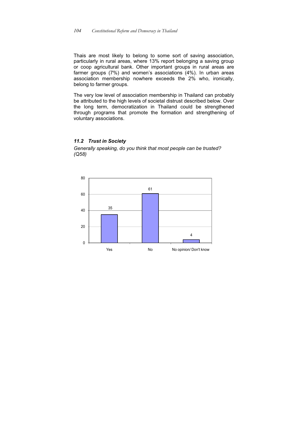Thais are most likely to belong to some sort of saving association, particularly in rural areas, where 13% report belonging a saving group or coop agricultural bank. Other important groups in rural areas are farmer groups (7%) and women's associations (4%). In urban areas association membership nowhere exceeds the 2% who, ironically, belong to farmer groups.

The very low level of association membership in Thailand can probably be attributed to the high levels of societal distrust described below. Over the long term, democratization in Thailand could be strengthened through programs that promote the formation and strengthening of voluntary associations.

#### *11.2 Trust in Society*

*Generally speaking, do you think that most people can be trusted? (Q58)* 

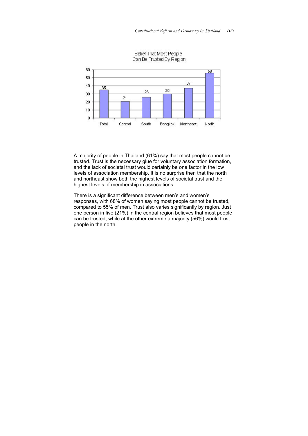

**Belief That Most People** Can Be Trusted By Region

A majority of people in Thailand (61%) say that most people cannot be trusted. Trust is the necessary glue for voluntary association formation, and the lack of societal trust would certainly be one factor in the low levels of association membership. It is no surprise then that the north and northeast show both the highest levels of societal trust and the highest levels of membership in associations.

There is a significant difference between men's and women's responses, with 68% of women saying most people cannot be trusted, compared to 55% of men. Trust also varies significantly by region. Just one person in five (21%) in the central region believes that most people can be trusted, while at the other extreme a majority (56%) would trust people in the north.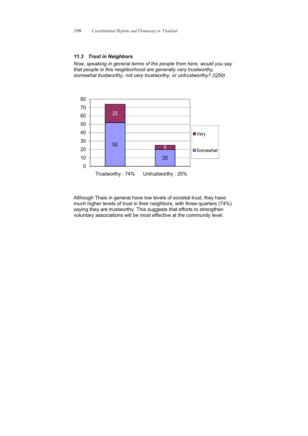#### *11.3 Trust in Neighbors*

*Now, speaking in general terms of the people from here, would you say that people in this neighborhood are generally very trustworthy, somewhat trustworthy, not very trustworthy, or untrustworthy? (Q59)* 



Although Thais in general have low levels of societal trust, they have much higher levels of trust in their neighbors, with three-quarters (74%) saying they are trustworthy. This suggests that efforts to strengthen voluntary associations will be most effective at the community level.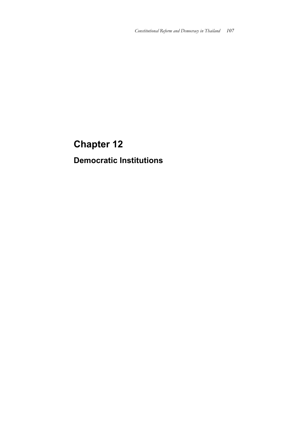## **Chapter 12**

### **12 Democratic Institutions**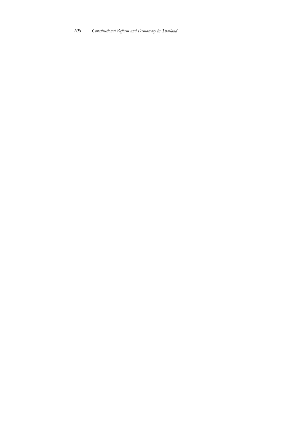*Constitutional Reform and Democracy in Thailand*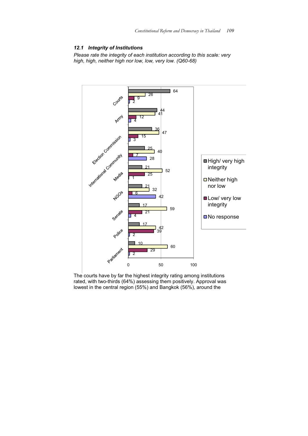### *12.1 Integrity of Institutions*

*Please rate the integrity of each institution according to this scale: very high, high, neither high nor low, low, very low. (Q60-68)* 



The courts have by far the highest integrity rating among institutions rated, with two-thirds (64%) assessing them positively. Approval was lowest in the central region (55%) and Bangkok (56%), around the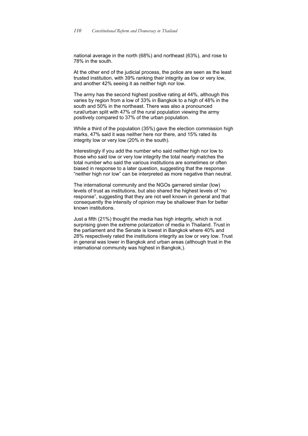national average in the north (68%) and northeast (63%), and rose to 78% in the south.

At the other end of the judicial process, the police are seen as the least trusted institution, with 39% ranking their integrity as low or very low, and another 42% seeing it as neither high nor low.

The army has the second highest positive rating at 44%, although this varies by region from a low of 33% in Bangkok to a high of 48% in the south and 50% in the northeast. There was also a pronounced rural/urban split with 47% of the rural population viewing the army positively compared to 37% of the urban population.

While a third of the population (35%) gave the election commission high marks, 47% said it was neither here nor there, and 15% rated its integrity low or very low (20% in the south).

Interestingly if you add the number who said neither high nor low to those who said low or very low integrity the total nearly matches the total number who said the various institutions are sometimes or often biased in response to a later question, suggesting that the response "neither high nor low" can be interpreted as more negative than neutral.

The international community and the NGOs garnered similar (low) levels of trust as institutions, but also shared the highest levels of "no response", suggesting that they are not well known in general and that consequently the intensity of opinion may be shallower than for better known institutions.

Just a fifth (21%) thought the media has high integrity, which is not surprising given the extreme polarization of media in Thailand. Trust in the parliament and the Senate is lowest in Bangkok where 40% and 28% respectively rated the institutions integrity as low or very low. Trust in general was lower in Bangkok and urban areas (although trust in the international community was highest in Bangkok,).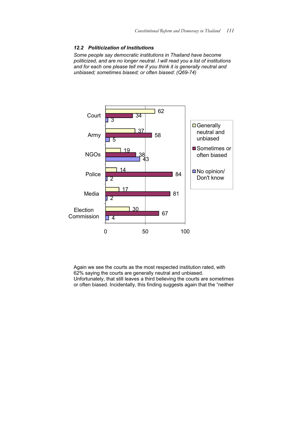### *12.2 Politicization of Institutions*

*Some people say democratic institutions in Thailand have become politicized, and are no longer neutral. I will read you a list of institutions and for each one please tell me if you think it is generally neutral and unbiased; sometimes biased; or often biased: (Q69-74)* 



Again we see the courts as the most respected institution rated, with 62% saying the courts are generally neutral and unbiased. Unfortunately, that still leaves a third believing the courts are sometimes or often biased. Incidentally, this finding suggests again that the "neither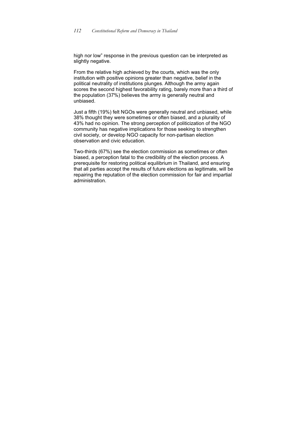high nor low" response in the previous question can be interpreted as slightly negative.

From the relative high achieved by the courts, which was the only institution with positive opinions greater than negative, belief in the political neutrality of institutions plunges. Although the army again scores the second highest favorability rating, barely more than a third of the population (37%) believes the army is generally neutral and unbiased.

Just a fifth (19%) felt NGOs were generally neutral and unbiased, while 38% thought they were sometimes or often biased, and a plurality of 43% had no opinion. The strong perception of politicization of the NGO community has negative implications for those seeking to strengthen civil society, or develop NGO capacity for non-partisan election observation and civic education.

Two-thirds (67%) see the election commission as sometimes or often biased, a perception fatal to the credibility of the election process. A prerequisite for restoring political equilibrium in Thailand, and ensuring that all parties accept the results of future elections as legitimate, will be repairing the reputation of the election commission for fair and impartial administration.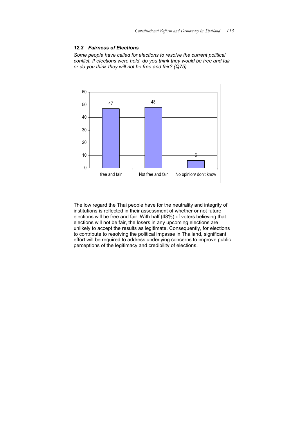### *12.3 Fairness of Elections*

*Some people have called for elections to resolve the current political conflict. If elections were held, do you think they would be free and fair or do you think they will not be free and fair? (Q75)* 



The low regard the Thai people have for the neutrality and integrity of institutions is reflected in their assessment of whether or not future elections will be free and fair. With half (48%) of voters believing that elections will not be fair, the losers in any upcoming elections are unlikely to accept the results as legitimate. Consequently, for elections to contribute to resolving the political impasse in Thailand, significant effort will be required to address underlying concerns to improve public perceptions of the legitimacy and credibility of elections.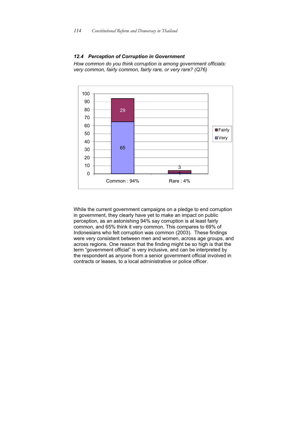### *12.4 Perception of Corruption in Government*

*How common do you think corruption is among government officials: very common, fairly common, fairly rare, or very rare? (Q76)* 



While the current government campaigns on a pledge to end corruption in government, they clearly have yet to make an impact on public perception, as an astonishing 94% say corruption is at least fairly common, and 65% think it very common. This compares to 69% of Indonesians who felt corruption was common (2003). These findings were very consistent between men and women, across age groups, and across regions. One reason that the finding might be so high is that the term "government official" is very inclusive, and can be interpreted by the respondent as anyone from a senior government official involved in contracts or leases, to a local administrative or police officer.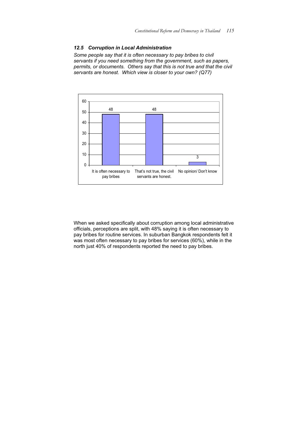### *12.5 Corruption in Local Administration*

*Some people say that it is often necessary to pay bribes to civil servants if you need something from the government, such as papers, permits, or documents. Others say that this is not true and that the civil servants are honest. Which view is closer to your own? (Q77)* 



When we asked specifically about corruption among local administrative officials, perceptions are split, with 48% saying it is often necessary to pay bribes for routine services. In suburban Bangkok respondents felt it was most often necessary to pay bribes for services (60%), while in the north just 40% of respondents reported the need to pay bribes.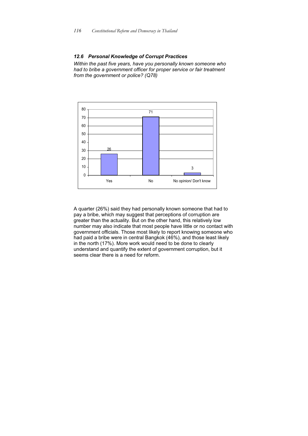### *12.6 Personal Knowledge of Corrupt Practices*

*Within the past five years, have you personally known someone who had to bribe a government officer for proper service or fair treatment from the government or police? (Q78)* 



A quarter (26%) said they had personally known someone that had to pay a bribe, which may suggest that perceptions of corruption are greater than the actuality. But on the other hand, this relatively low number may also indicate that most people have little or no contact with government officials. Those most likely to report knowing someone who had paid a bribe were in central Bangkok (46%), and those least likely in the north (17%). More work would need to be done to clearly understand and quantify the extent of government corruption, but it seems clear there is a need for reform.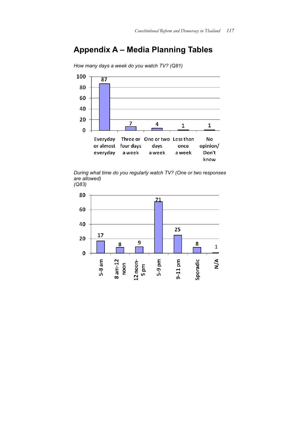# **Appendix A – Media Planning Tables**



*How many days a week do you watch TV? (Q81)* 





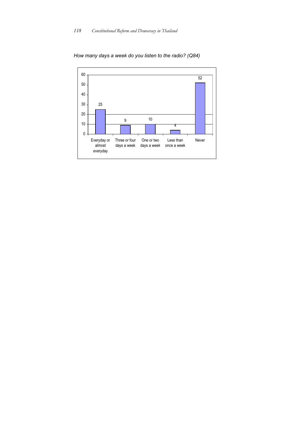

### *How many days a week do you listen to the radio? (Q84)*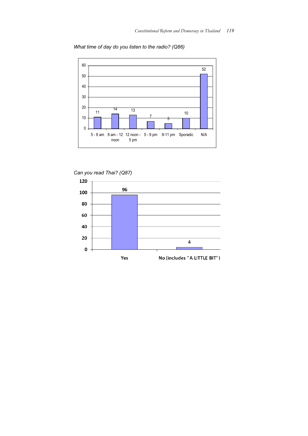



*Can you read Thai? (Q87)* 

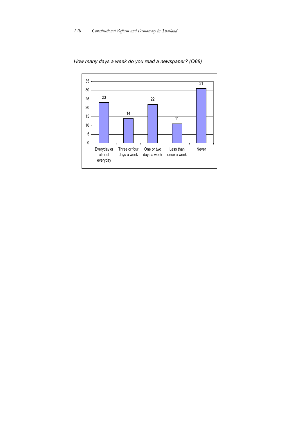

### *How many days a week do you read a newspaper? (Q88)*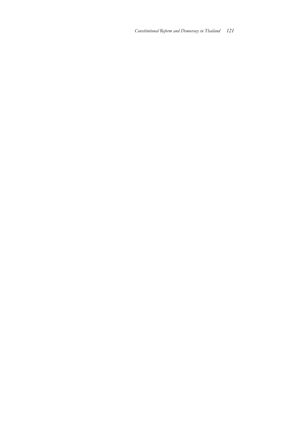*Constitutional Reform and Democracy in Thailand 121*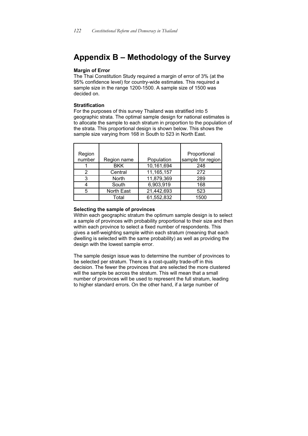## **Appendix B – Methodology of the Survey**

### **Margin of Error**

The Thai Constitution Study required a margin of error of 3% (at the 95% confidence level) for country-wide estimates. This required a sample size in the range 1200-1500. A sample size of 1500 was decided on.

### **Stratification**

For the purposes of this survey Thailand was stratified into 5 geographic strata. The optimal sample design for national estimates is to allocate the sample to each stratum in proportion to the population of the strata. This proportional design is shown below. This shows the sample size varying from 168 in South to 523 in North East.

| Region<br>number | Region name  | Population   | Proportional<br>sample for region |
|------------------|--------------|--------------|-----------------------------------|
|                  | <b>BKK</b>   | 10,161,694   | 248                               |
| $\overline{2}$   | Central      | 11, 165, 157 | 272                               |
| 3                | <b>North</b> | 11,879,369   | 289                               |
| 4                | South        | 6,903,919    | 168                               |
| 5                | North East   | 21,442,693   | 523                               |
|                  | Total        | 61,552,832   | 1500                              |

### **Selecting the sample of provinces**

Within each geographic stratum the optimum sample design is to select a sample of provinces with probability proportional to their size and then within each province to select a fixed number of respondents. This gives a self-weighting sample within each stratum (meaning that each dwelling is selected with the same probability) as well as providing the design with the lowest sample error.

The sample design issue was to determine the number of provinces to be selected per stratum. There is a cost-quality trade-off in this decision. The fewer the provinces that are selected the more clustered will the sample be across the stratum. This will mean that a small number of provinces will be used to represent the full stratum, leading to higher standard errors. On the other hand, if a large number of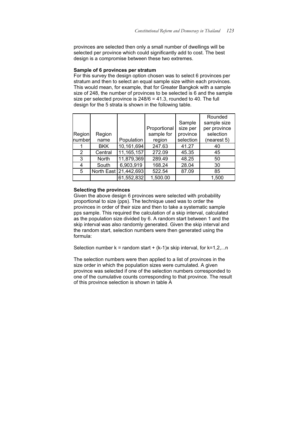provinces are selected then only a small number of dwellings will be selected per province which could significantly add to cost. The best design is a compromise between these two extremes.

#### **Sample of 6 provinces per stratum**

For this survey the design option chosen was to select 6 provinces per stratum and then to select an equal sample size within each provinces. This would mean, for example, that for Greater Bangkok with a sample size of 248, the number of provinces to be selected is 6 and the sample size per selected province is 248/6 = 41.3, rounded to 40. The full design for the 5 strata is shown in the following table.

|        |              |                       |              |           | Rounded      |
|--------|--------------|-----------------------|--------------|-----------|--------------|
|        |              |                       |              | Sample    | sample size  |
|        |              |                       | Proportional | size per  | per province |
| Region | Region       |                       | sample for   | province  | selection    |
| number | name         | Population            | region       | selection | (nearest 5)  |
|        | <b>BKK</b>   | 10,161,694            | 247.63       | 41.27     | 40           |
| 2      | Central      | 11, 165, 157          | 272.09       | 45.35     | 45           |
| 3      | <b>North</b> | 11,879,369            | 289.49       | 48.25     | 50           |
| 4      | South        | 6,903,919             | 168.24       | 28.04     | 30           |
| 5      |              | North East 21,442,693 | 522.54       | 87.09     | 85           |
|        |              | 61,552,832            | 1,500.00     |           | 1,500        |

### **Selecting the provinces**

Given the above design 6 provinces were selected with probability proportional to size (pps). The technique used was to order the provinces in order of their size and then to take a systematic sample pps sample. This required the calculation of a skip interval, calculated as the population size divided by 6. A random start between 1 and the skip interval was also randomly generated. Given the skip interval and the random start, selection numbers were then generated using the formula:

Selection number  $k =$  random start  $+(k-1)x$  skip interval, for  $k=1,2,...n$ 

The selection numbers were then applied to a list of provinces in the size order in which the population sizes were cumulated. A given province was selected if one of the selection numbers corresponded to one of the cumulative counts corresponding to that province. The result of this province selection is shown in table A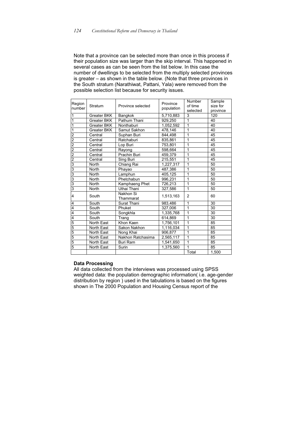Note that a province can be selected more than once in this process if their population size was larger than the skip interval. This happened in several cases as can be seen from the list below. In this case the number of dwellings to be selected from the multiply selected provinces is greater – as shown in the table below. (Note that three provinces in the South stratum (Narathiwat, Pattani, Yala) were removed from the possible selection list because for security issues.

| Region<br>number        | Stratum            | Province<br>Province selected<br>population |           | Number<br>of time<br>selected | Sample<br>size for<br>province |
|-------------------------|--------------------|---------------------------------------------|-----------|-------------------------------|--------------------------------|
| 1                       | Greater BKK        | Bangkok                                     | 5,710,883 | 3                             | 120                            |
| $\overline{1}$          | Greater BKK        | Pathum Thani                                | 929.250   | $\mathbf{1}$                  | 40                             |
| $\overline{1}$          | Greater BKK        | Nonthaburi                                  | 1,052,592 | $\mathbf{1}$                  | 40                             |
| 1                       | <b>Greater BKK</b> | Samut Sakhon                                | 478,146   | 1                             | 40                             |
| $\overline{\mathbf{c}}$ | Central            | Suphan Buri                                 | 844,498   | $\mathbf{1}$                  | 45                             |
| $\overline{2}$          | Central            | Ratchaburi                                  | 835,861   | 1                             | 45                             |
| $\frac{2}{2}$           | Central            | Lop Buri                                    | 753,801   | 1                             | 45                             |
|                         | Central            | Rayong                                      | 598,664   | $\mathbf{1}$                  | 45                             |
| $\overline{2}$          | Central            | Prachin Buri                                | 459,379   | 1                             | 45                             |
| $\overline{\mathbf{c}}$ | Central            | Sing Buri                                   | 215,551   | $\mathbf{1}$                  | 45                             |
| 3                       | North              | Chiang Rai                                  | 1,227,317 | $\mathbf{1}$                  | 50                             |
| 3                       | North              | Phayao                                      | 487,386   | 1                             | 50                             |
| 3                       | North              | Lamphun                                     | 405,125   | 1                             | 50                             |
| 3                       | North              | Phetchabun                                  | 996,231   | 1                             | 50                             |
| 3                       | North              | Kamphaeng Phet                              | 726,213   | 1                             | 50                             |
| 3                       | North              | Uthai Thani                                 | 327,586   | 1                             | 50                             |
| 4                       | South              | Nakhon Si<br>Thammarat                      | 1,513,163 | 2                             | 60                             |
| 4                       | South              | Surat Thani                                 | 983,486   | 1                             | 30                             |
| 4                       | South              | Phuket                                      | 327,006   | $\mathbf{1}$                  | 30                             |
| $\overline{4}$          | South              | Songkhla                                    | 1,335,768 | 1                             | 30                             |
| 4                       | South              | Trang                                       | 614,869   | $\mathbf{1}$                  | 30                             |
| 5                       | North East         | Khon Kaen                                   | 1,756,101 | $\mathbf{1}$                  | 85                             |
| 5                       | North East         | Sakon Nakhon                                | 1,116,034 | 1                             | 85                             |
| 5                       | North East         | Nong Khai                                   | 906,877   | $\overline{1}$                | 85                             |
| 5                       | North East         | Nakhon Ratchasima                           | 2,565,117 | 1                             | 85                             |
| 5                       | North East         | Buri Ram                                    | 1,541,650 | 1                             | 85                             |
| 5                       | North East         | Surin                                       | 1,375,560 | 1                             | 85                             |
|                         |                    |                                             |           | Total                         | 1,500                          |

### **Data Processing**

All data collected from the interviews was processed using SPSS weighted data: the population demographic information( i.e. age-gender distribution by region ) used in the tabulations is based on the figures shown in The 2000 Population and Housing Census report of the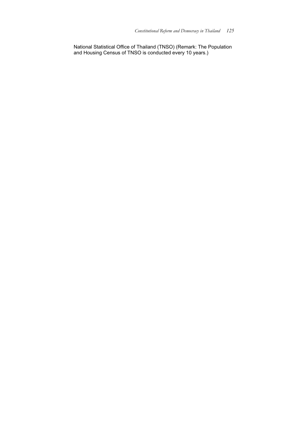National Statistical Office of Thailand (TNSO) (Remark: The Population and Housing Census of TNSO is conducted every 10 years.)